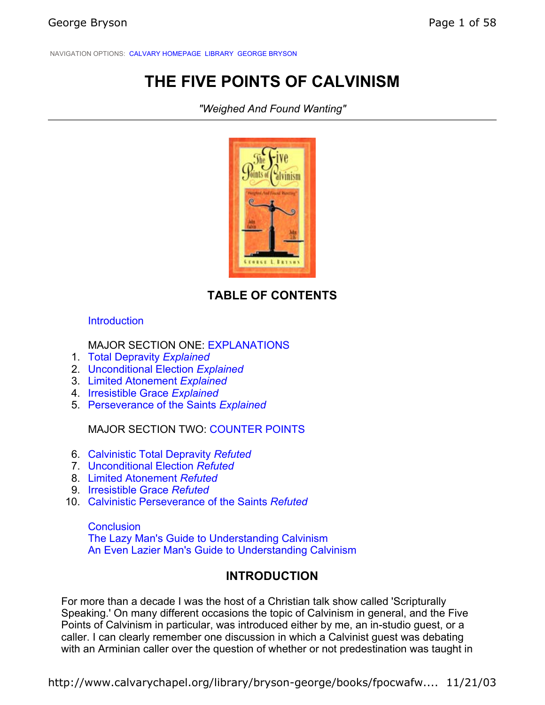NAVIGATION OPTIONS: CALVARY HOMEPAGE LIBRARY GEORGE BRYSON

# **THE FIVE POINTS OF CALVINISM**

*"Weighed And Found Wanting"*



# **TABLE OF CONTENTS**

#### **Introduction**

MAJOR SECTION ONE: EXPLANATIONS

- 1. Total Depravity *Explained*
- 2. Unconditional Election *Explained*
- 3. Limited Atonement *Explained*
- 4. Irresistible Grace *Explained*
- 5. Perseverance of the Saints *Explained*

MAJOR SECTION TWO: COUNTER POINTS

- 6. Calvinistic Total Depravity *Refuted*
- 7. Unconditional Election *Refuted*
- 8. Limited Atonement *Refuted*
- 9. Irresistible Grace *Refuted*
- 10. Calvinistic Perseverance of the Saints *Refuted*

**Conclusion** The Lazy Man's Guide to Understanding Calvinism An Even Lazier Man's Guide to Understanding Calvinism

# **INTRODUCTION**

For more than a decade I was the host of a Christian talk show called 'Scripturally Speaking.' On many different occasions the topic of Calvinism in general, and the Five Points of Calvinism in particular, was introduced either by me, an in-studio guest, or a caller. I can clearly remember one discussion in which a Calvinist guest was debating with an Arminian caller over the question of whether or not predestination was taught in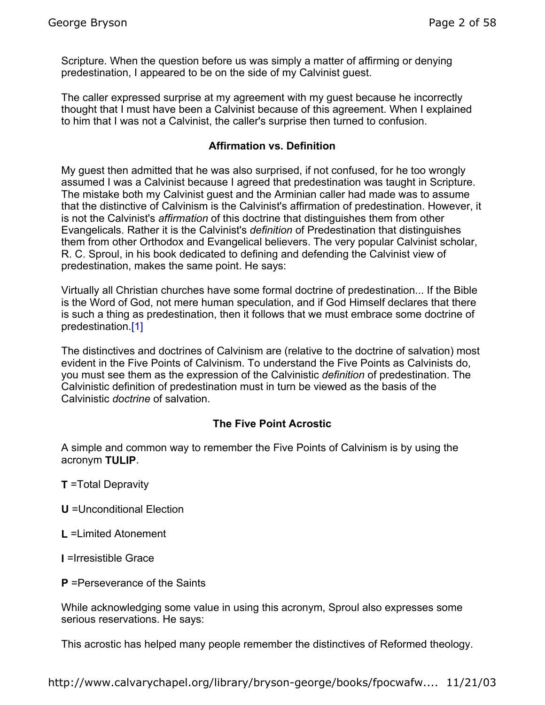Scripture. When the question before us was simply a matter of affirming or denying predestination, I appeared to be on the side of my Calvinist guest.

The caller expressed surprise at my agreement with my guest because he incorrectly thought that I must have been a Calvinist because of this agreement. When I explained to him that I was not a Calvinist, the caller's surprise then turned to confusion.

#### **Affirmation vs. Definition**

My guest then admitted that he was also surprised, if not confused, for he too wrongly assumed I was a Calvinist because I agreed that predestination was taught in Scripture. The mistake both my Calvinist guest and the Arminian caller had made was to assume that the distinctive of Calvinism is the Calvinist's affirmation of predestination. However, it is not the Calvinist's *affirmation* of this doctrine that distinguishes them from other Evangelicals. Rather it is the Calvinist's *definition* of Predestination that distinguishes them from other Orthodox and Evangelical believers. The very popular Calvinist scholar, R. C. Sproul, in his book dedicated to defining and defending the Calvinist view of predestination, makes the same point. He says:

Virtually all Christian churches have some formal doctrine of predestination... If the Bible is the Word of God, not mere human speculation, and if God Himself declares that there is such a thing as predestination, then it follows that we must embrace some doctrine of predestination.[1]

The distinctives and doctrines of Calvinism are (relative to the doctrine of salvation) most evident in the Five Points of Calvinism. To understand the Five Points as Calvinists do, you must see them as the expression of the Calvinistic *definition* of predestination. The Calvinistic definition of predestination must in turn be viewed as the basis of the Calvinistic *doctrine* of salvation.

#### **The Five Point Acrostic**

A simple and common way to remember the Five Points of Calvinism is by using the acronym **TULIP**.

#### **T** =Total Depravity

- **U** =Unconditional Election
- **L** =Limited Atonement

**I** =Irresistible Grace

**P** =Perseverance of the Saints

While acknowledging some value in using this acronym, Sproul also expresses some serious reservations. He says:

This acrostic has helped many people remember the distinctives of Reformed theology.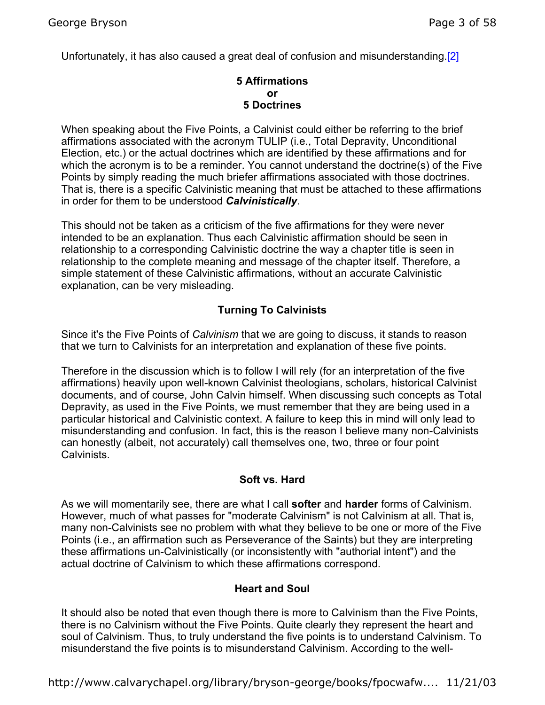Unfortunately, it has also caused a great deal of confusion and misunderstanding [2]

#### **5 Affirmations or 5 Doctrines**

When speaking about the Five Points, a Calvinist could either be referring to the brief affirmations associated with the acronym TULIP (i.e., Total Depravity, Unconditional Election, etc.) or the actual doctrines which are identified by these affirmations and for which the acronym is to be a reminder. You cannot understand the doctrine(s) of the Five Points by simply reading the much briefer affirmations associated with those doctrines. That is, there is a specific Calvinistic meaning that must be attached to these affirmations in order for them to be understood *Calvinistically*.

This should not be taken as a criticism of the five affirmations for they were never intended to be an explanation. Thus each Calvinistic affirmation should be seen in relationship to a corresponding Calvinistic doctrine the way a chapter title is seen in relationship to the complete meaning and message of the chapter itself. Therefore, a simple statement of these Calvinistic affirmations, without an accurate Calvinistic explanation, can be very misleading.

# **Turning To Calvinists**

Since it's the Five Points of *Calvinism* that we are going to discuss, it stands to reason that we turn to Calvinists for an interpretation and explanation of these five points.

Therefore in the discussion which is to follow I will rely (for an interpretation of the five affirmations) heavily upon well-known Calvinist theologians, scholars, historical Calvinist documents, and of course, John Calvin himself. When discussing such concepts as Total Depravity, as used in the Five Points, we must remember that they are being used in a particular historical and Calvinistic context. A failure to keep this in mind will only lead to misunderstanding and confusion. In fact, this is the reason I believe many non-Calvinists can honestly (albeit, not accurately) call themselves one, two, three or four point Calvinists.

# **Soft vs. Hard**

As we will momentarily see, there are what I call **softer** and **harder** forms of Calvinism. However, much of what passes for "moderate Calvinism" is not Calvinism at all. That is, many non-Calvinists see no problem with what they believe to be one or more of the Five Points (i.e., an affirmation such as Perseverance of the Saints) but they are interpreting these affirmations un-Calvinistically (or inconsistently with "authorial intent") and the actual doctrine of Calvinism to which these affirmations correspond.

# **Heart and Soul**

It should also be noted that even though there is more to Calvinism than the Five Points, there is no Calvinism without the Five Points. Quite clearly they represent the heart and soul of Calvinism. Thus, to truly understand the five points is to understand Calvinism. To misunderstand the five points is to misunderstand Calvinism. According to the well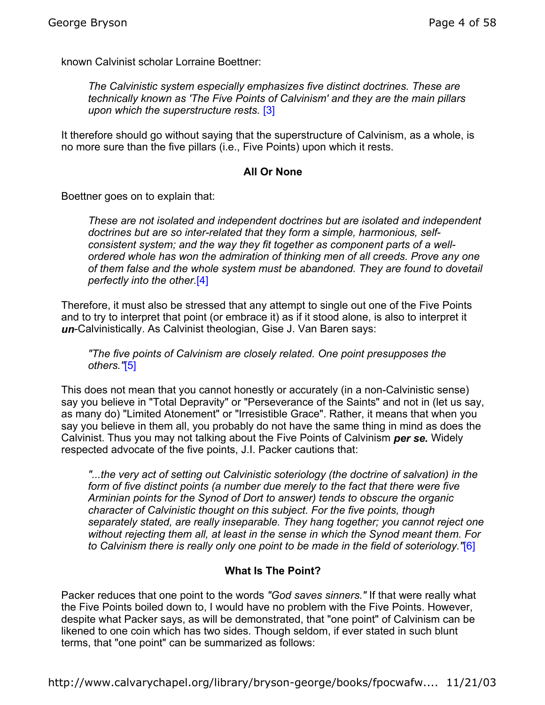known Calvinist scholar Lorraine Boettner:

*The Calvinistic system especially emphasizes five distinct doctrines. These are technically known as 'The Five Points of Calvinism' and they are the main pillars upon which the superstructure rests.* [3]

It therefore should go without saying that the superstructure of Calvinism, as a whole, is no more sure than the five pillars (i.e., Five Points) upon which it rests.

#### **All Or None**

Boettner goes on to explain that:

*These are not isolated and independent doctrines but are isolated and independent doctrines but are so inter-related that they form a simple, harmonious, selfconsistent system; and the way they fit together as component parts of a wellordered whole has won the admiration of thinking men of all creeds. Prove any one of them false and the whole system must be abandoned. They are found to dovetail perfectly into the other.*[4]

Therefore, it must also be stressed that any attempt to single out one of the Five Points and to try to interpret that point (or embrace it) as if it stood alone, is also to interpret it *un*-Calvinistically. As Calvinist theologian, Gise J. Van Baren says:

*"The five points of Calvinism are closely related. One point presupposes the others."*[5]

This does not mean that you cannot honestly or accurately (in a non-Calvinistic sense) say you believe in "Total Depravity" or "Perseverance of the Saints" and not in (let us say, as many do) "Limited Atonement" or "Irresistible Grace". Rather, it means that when you say you believe in them all, you probably do not have the same thing in mind as does the Calvinist. Thus you may not talking about the Five Points of Calvinism *per se.* Widely respected advocate of the five points, J.I. Packer cautions that:

*"...the very act of setting out Calvinistic soteriology (the doctrine of salvation) in the form of five distinct points (a number due merely to the fact that there were five Arminian points for the Synod of Dort to answer) tends to obscure the organic character of Calvinistic thought on this subject. For the five points, though separately stated, are really inseparable. They hang together; you cannot reject one without rejecting them all, at least in the sense in which the Synod meant them. For to Calvinism there is really only one point to be made in the field of soteriology."*[6]

#### **What Is The Point?**

Packer reduces that one point to the words *"God saves sinners."* If that were really what the Five Points boiled down to, I would have no problem with the Five Points. However, despite what Packer says, as will be demonstrated, that "one point" of Calvinism can be likened to one coin which has two sides. Though seldom, if ever stated in such blunt terms, that "one point" can be summarized as follows: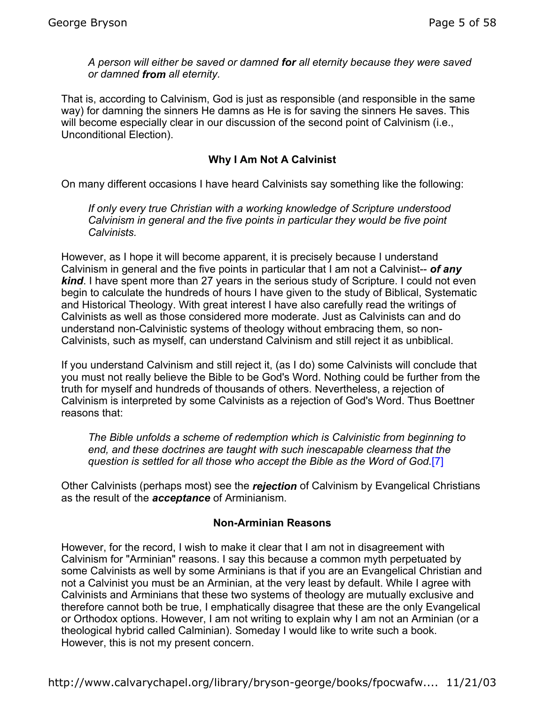*A person will either be saved or damned for all eternity because they were saved or damned from all eternity.*

That is, according to Calvinism, God is just as responsible (and responsible in the same way) for damning the sinners He damns as He is for saving the sinners He saves. This will become especially clear in our discussion of the second point of Calvinism (i.e., Unconditional Election).

## **Why I Am Not A Calvinist**

On many different occasions I have heard Calvinists say something like the following:

*If only every true Christian with a working knowledge of Scripture understood Calvinism in general and the five points in particular they would be five point Calvinists.*

However, as I hope it will become apparent, it is precisely because I understand Calvinism in general and the five points in particular that I am not a Calvinist-- *of any kind*. I have spent more than 27 years in the serious study of Scripture. I could not even begin to calculate the hundreds of hours I have given to the study of Biblical, Systematic and Historical Theology. With great interest I have also carefully read the writings of Calvinists as well as those considered more moderate. Just as Calvinists can and do understand non-Calvinistic systems of theology without embracing them, so non-Calvinists, such as myself, can understand Calvinism and still reject it as unbiblical.

If you understand Calvinism and still reject it, (as I do) some Calvinists will conclude that you must not really believe the Bible to be God's Word. Nothing could be further from the truth for myself and hundreds of thousands of others. Nevertheless, a rejection of Calvinism is interpreted by some Calvinists as a rejection of God's Word. Thus Boettner reasons that:

*The Bible unfolds a scheme of redemption which is Calvinistic from beginning to end, and these doctrines are taught with such inescapable clearness that the question is settled for all those who accept the Bible as the Word of God.*[7]

Other Calvinists (perhaps most) see the *rejection* of Calvinism by Evangelical Christians as the result of the *acceptance* of Arminianism.

#### **Non-Arminian Reasons**

However, for the record, I wish to make it clear that I am not in disagreement with Calvinism for "Arminian" reasons. I say this because a common myth perpetuated by some Calvinists as well by some Arminians is that if you are an Evangelical Christian and not a Calvinist you must be an Arminian, at the very least by default. While I agree with Calvinists and Arminians that these two systems of theology are mutually exclusive and therefore cannot both be true, I emphatically disagree that these are the only Evangelical or Orthodox options. However, I am not writing to explain why I am not an Arminian (or a theological hybrid called Calminian). Someday I would like to write such a book. However, this is not my present concern.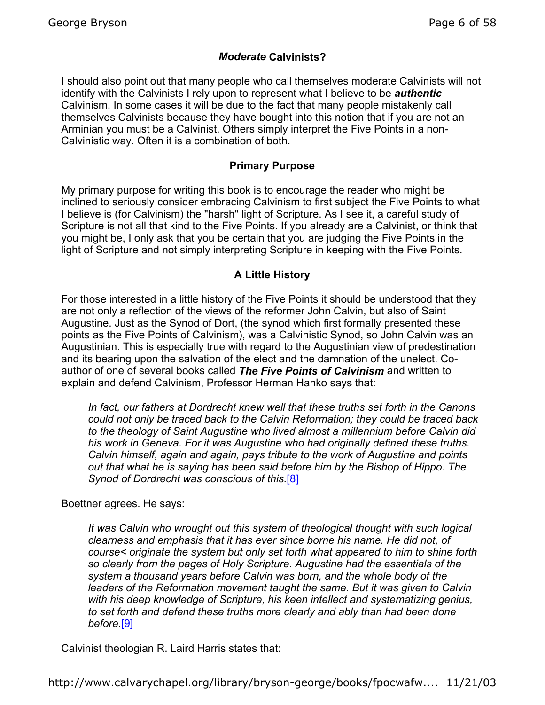# *Moderate* **Calvinists?**

I should also point out that many people who call themselves moderate Calvinists will not identify with the Calvinists I rely upon to represent what I believe to be *authentic* Calvinism. In some cases it will be due to the fact that many people mistakenly call themselves Calvinists because they have bought into this notion that if you are not an Arminian you must be a Calvinist. Others simply interpret the Five Points in a non-Calvinistic way. Often it is a combination of both.

## **Primary Purpose**

My primary purpose for writing this book is to encourage the reader who might be inclined to seriously consider embracing Calvinism to first subject the Five Points to what I believe is (for Calvinism) the "harsh" light of Scripture. As I see it, a careful study of Scripture is not all that kind to the Five Points. If you already are a Calvinist, or think that you might be, I only ask that you be certain that you are judging the Five Points in the light of Scripture and not simply interpreting Scripture in keeping with the Five Points.

# **A Little History**

For those interested in a little history of the Five Points it should be understood that they are not only a reflection of the views of the reformer John Calvin, but also of Saint Augustine. Just as the Synod of Dort, (the synod which first formally presented these points as the Five Points of Calvinism), was a Calvinistic Synod, so John Calvin was an Augustinian. This is especially true with regard to the Augustinian view of predestination and its bearing upon the salvation of the elect and the damnation of the unelect. Coauthor of one of several books called *The Five Points of Calvinism* and written to explain and defend Calvinism, Professor Herman Hanko says that:

*In fact, our fathers at Dordrecht knew well that these truths set forth in the Canons could not only be traced back to the Calvin Reformation; they could be traced back to the theology of Saint Augustine who lived almost a millennium before Calvin did his work in Geneva. For it was Augustine who had originally defined these truths. Calvin himself, again and again, pays tribute to the work of Augustine and points out that what he is saying has been said before him by the Bishop of Hippo. The Synod of Dordrecht was conscious of this.*[8]

Boettner agrees. He says:

*It was Calvin who wrought out this system of theological thought with such logical clearness and emphasis that it has ever since borne his name. He did not, of course< originate the system but only set forth what appeared to him to shine forth so clearly from the pages of Holy Scripture. Augustine had the essentials of the system a thousand years before Calvin was born, and the whole body of the leaders of the Reformation movement taught the same. But it was given to Calvin with his deep knowledge of Scripture, his keen intellect and systematizing genius, to set forth and defend these truths more clearly and ably than had been done before.*[9]

Calvinist theologian R. Laird Harris states that: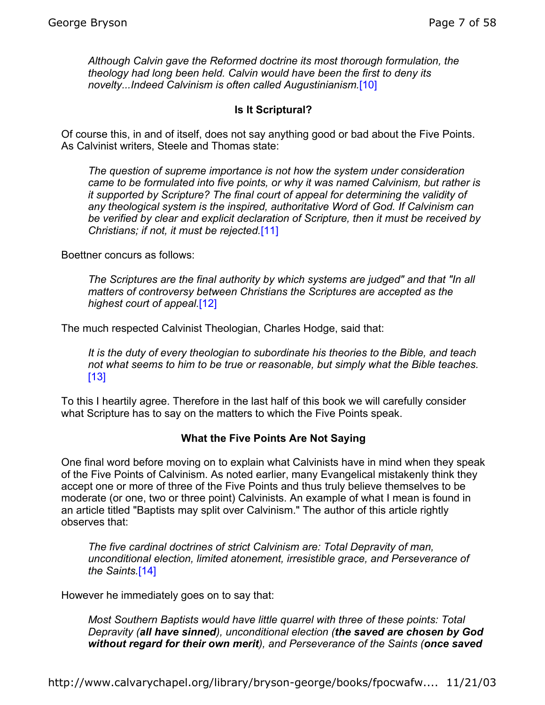*Although Calvin gave the Reformed doctrine its most thorough formulation, the theology had long been held. Calvin would have been the first to deny its novelty...Indeed Calvinism is often called Augustinianism.*[10]

### **Is It Scriptural?**

Of course this, in and of itself, does not say anything good or bad about the Five Points. As Calvinist writers, Steele and Thomas state:

*The question of supreme importance is not how the system under consideration came to be formulated into five points, or why it was named Calvinism, but rather is it supported by Scripture? The final court of appeal for determining the validity of any theological system is the inspired, authoritative Word of God. If Calvinism can be verified by clear and explicit declaration of Scripture, then it must be received by Christians; if not, it must be rejected.*[11]

Boettner concurs as follows:

*The Scriptures are the final authority by which systems are judged" and that "In all matters of controversy between Christians the Scriptures are accepted as the highest court of appeal.*[12]

The much respected Calvinist Theologian, Charles Hodge, said that:

*It is the duty of every theologian to subordinate his theories to the Bible, and teach not what seems to him to be true or reasonable, but simply what the Bible teaches.*  $[13]$ 

To this I heartily agree. Therefore in the last half of this book we will carefully consider what Scripture has to say on the matters to which the Five Points speak.

#### **What the Five Points Are Not Saying**

One final word before moving on to explain what Calvinists have in mind when they speak of the Five Points of Calvinism. As noted earlier, many Evangelical mistakenly think they accept one or more of three of the Five Points and thus truly believe themselves to be moderate (or one, two or three point) Calvinists. An example of what I mean is found in an article titled "Baptists may split over Calvinism." The author of this article rightly observes that:

*The five cardinal doctrines of strict Calvinism are: Total Depravity of man, unconditional election, limited atonement, irresistible grace, and Perseverance of the Saints.*[14]

However he immediately goes on to say that:

*Most Southern Baptists would have little quarrel with three of these points: Total Depravity (all have sinned), unconditional election (the saved are chosen by God without regard for their own merit), and Perseverance of the Saints (once saved*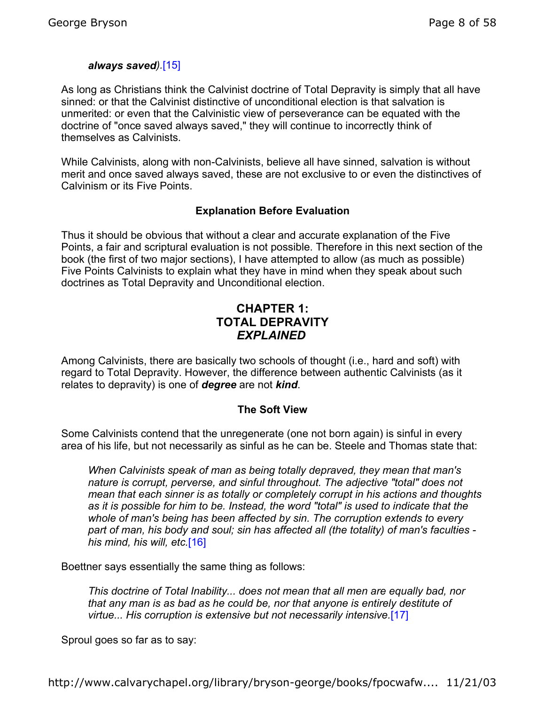## *always saved).*[15]

As long as Christians think the Calvinist doctrine of Total Depravity is simply that all have sinned: or that the Calvinist distinctive of unconditional election is that salvation is unmerited: or even that the Calvinistic view of perseverance can be equated with the doctrine of "once saved always saved," they will continue to incorrectly think of themselves as Calvinists.

While Calvinists, along with non-Calvinists, believe all have sinned, salvation is without merit and once saved always saved, these are not exclusive to or even the distinctives of Calvinism or its Five Points.

#### **Explanation Before Evaluation**

Thus it should be obvious that without a clear and accurate explanation of the Five Points, a fair and scriptural evaluation is not possible. Therefore in this next section of the book (the first of two major sections), I have attempted to allow (as much as possible) Five Points Calvinists to explain what they have in mind when they speak about such doctrines as Total Depravity and Unconditional election.

# **CHAPTER 1: TOTAL DEPRAVITY**  *EXPLAINED*

Among Calvinists, there are basically two schools of thought (i.e., hard and soft) with regard to Total Depravity. However, the difference between authentic Calvinists (as it relates to depravity) is one of *degree* are not *kind*.

#### **The Soft View**

Some Calvinists contend that the unregenerate (one not born again) is sinful in every area of his life, but not necessarily as sinful as he can be. Steele and Thomas state that:

*When Calvinists speak of man as being totally depraved, they mean that man's nature is corrupt, perverse, and sinful throughout. The adjective "total" does not mean that each sinner is as totally or completely corrupt in his actions and thoughts as it is possible for him to be. Instead, the word "total" is used to indicate that the whole of man's being has been affected by sin. The corruption extends to every part of man, his body and soul; sin has affected all (the totality) of man's faculties his mind, his will, etc.*[16]

Boettner says essentially the same thing as follows:

*This doctrine of Total Inability... does not mean that all men are equally bad, nor that any man is as bad as he could be, nor that anyone is entirely destitute of virtue... His corruption is extensive but not necessarily intensive.*[17]

Sproul goes so far as to say: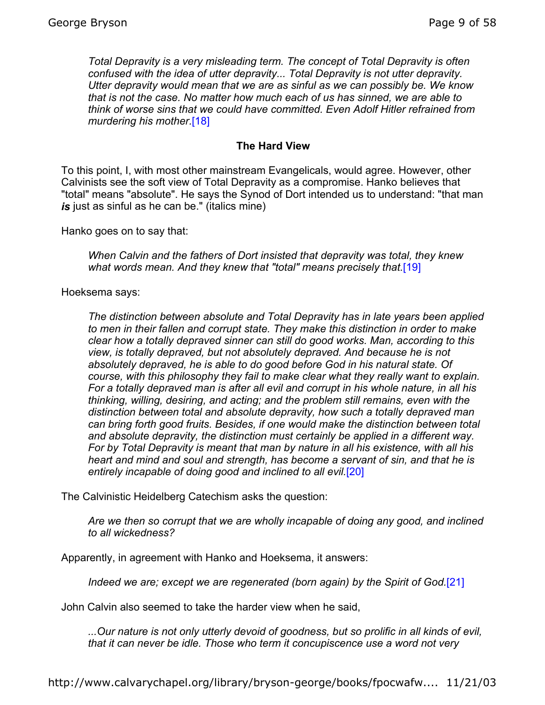*Total Depravity is a very misleading term. The concept of Total Depravity is often confused with the idea of utter depravity... Total Depravity is not utter depravity. Utter depravity would mean that we are as sinful as we can possibly be. We know that is not the case. No matter how much each of us has sinned, we are able to think of worse sins that we could have committed. Even Adolf Hitler refrained from murdering his mother.*[18]

#### **The Hard View**

To this point, I, with most other mainstream Evangelicals, would agree. However, other Calvinists see the soft view of Total Depravity as a compromise. Hanko believes that "total" means "absolute". He says the Synod of Dort intended us to understand: "that man is just as sinful as he can be." (italics mine)

Hanko goes on to say that:

*When Calvin and the fathers of Dort insisted that depravity was total, they knew what words mean. And they knew that "total" means precisely that.*[19]

Hoeksema says:

*The distinction between absolute and Total Depravity has in late years been applied to men in their fallen and corrupt state. They make this distinction in order to make clear how a totally depraved sinner can still do good works. Man, according to this view, is totally depraved, but not absolutely depraved. And because he is not absolutely depraved, he is able to do good before God in his natural state. Of course, with this philosophy they fail to make clear what they really want to explain. For a totally depraved man is after all evil and corrupt in his whole nature, in all his thinking, willing, desiring, and acting; and the problem still remains, even with the distinction between total and absolute depravity, how such a totally depraved man can bring forth good fruits. Besides, if one would make the distinction between total and absolute depravity, the distinction must certainly be applied in a different way. For by Total Depravity is meant that man by nature in all his existence, with all his heart and mind and soul and strength, has become a servant of sin, and that he is entirely incapable of doing good and inclined to all evil.*[20]

The Calvinistic Heidelberg Catechism asks the question:

*Are we then so corrupt that we are wholly incapable of doing any good, and inclined to all wickedness?*

Apparently, in agreement with Hanko and Hoeksema, it answers:

*Indeed we are; except we are regenerated (born again) by the Spirit of God.*[21]

John Calvin also seemed to take the harder view when he said,

*...Our nature is not only utterly devoid of goodness, but so prolific in all kinds of evil, that it can never be idle. Those who term it concupiscence use a word not very*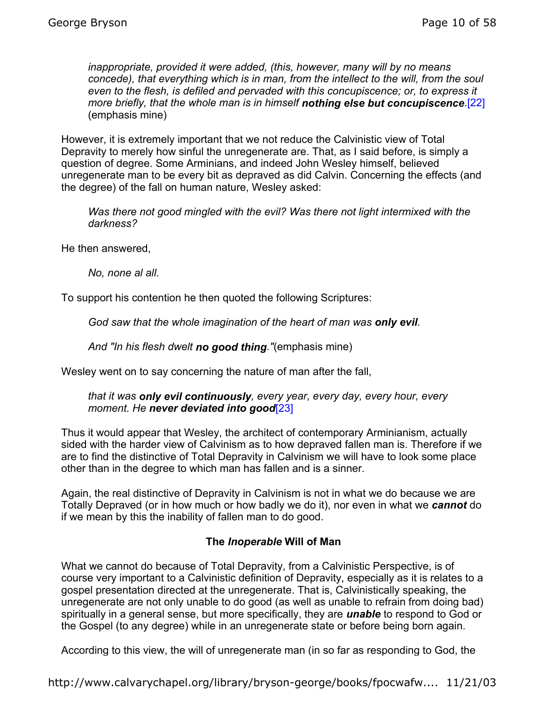*inappropriate, provided it were added, (this, however, many will by no means concede), that everything which is in man, from the intellect to the will, from the soul even to the flesh, is defiled and pervaded with this concupiscence; or, to express it more briefly, that the whole man is in himself nothing else but concupiscence*.[22] (emphasis mine)

However, it is extremely important that we not reduce the Calvinistic view of Total Depravity to merely how sinful the unregenerate are. That, as I said before, is simply a question of degree. Some Arminians, and indeed John Wesley himself, believed unregenerate man to be every bit as depraved as did Calvin. Concerning the effects (and the degree) of the fall on human nature, Wesley asked:

*Was there not good mingled with the evil? Was there not light intermixed with the darkness?*

He then answered,

*No, none al all.*

To support his contention he then quoted the following Scriptures:

*God saw that the whole imagination of the heart of man was only evil.* 

*And "In his flesh dwelt no good thing."*(emphasis mine)

Wesley went on to say concerning the nature of man after the fall,

#### *that it was only evil continuously, every year, every day, every hour, every moment. He never deviated into good*[23]

Thus it would appear that Wesley, the architect of contemporary Arminianism, actually sided with the harder view of Calvinism as to how depraved fallen man is. Therefore if we are to find the distinctive of Total Depravity in Calvinism we will have to look some place other than in the degree to which man has fallen and is a sinner.

Again, the real distinctive of Depravity in Calvinism is not in what we do because we are Totally Depraved (or in how much or how badly we do it), nor even in what we *cannot* do if we mean by this the inability of fallen man to do good.

#### **The** *Inoperable* **Will of Man**

What we cannot do because of Total Depravity, from a Calvinistic Perspective, is of course very important to a Calvinistic definition of Depravity, especially as it is relates to a gospel presentation directed at the unregenerate. That is, Calvinistically speaking, the unregenerate are not only unable to do good (as well as unable to refrain from doing bad) spiritually in a general sense, but more specifically, they are *unable* to respond to God or the Gospel (to any degree) while in an unregenerate state or before being born again.

According to this view, the will of unregenerate man (in so far as responding to God, the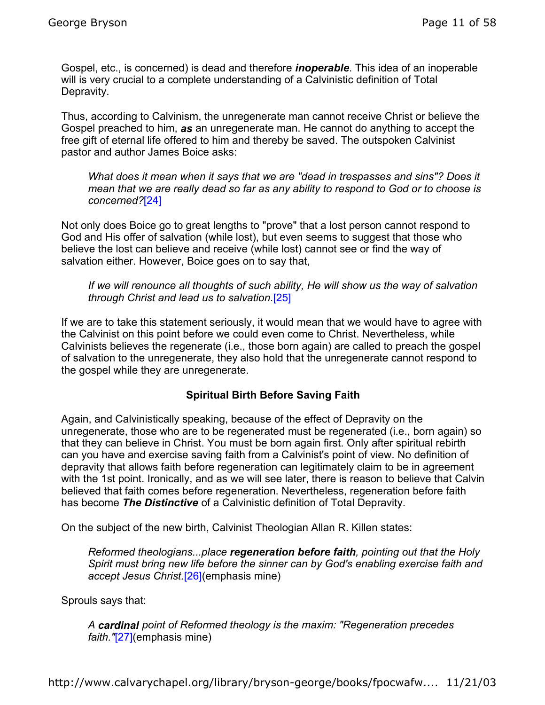Gospel, etc., is concerned) is dead and therefore *inoperable*. This idea of an inoperable will is very crucial to a complete understanding of a Calvinistic definition of Total Depravity.

Thus, according to Calvinism, the unregenerate man cannot receive Christ or believe the Gospel preached to him, *as* an unregenerate man. He cannot do anything to accept the free gift of eternal life offered to him and thereby be saved. The outspoken Calvinist pastor and author James Boice asks:

*What does it mean when it says that we are "dead in trespasses and sins"? Does it mean that we are really dead so far as any ability to respond to God or to choose is concerned?*[24]

Not only does Boice go to great lengths to "prove" that a lost person cannot respond to God and His offer of salvation (while lost), but even seems to suggest that those who believe the lost can believe and receive (while lost) cannot see or find the way of salvation either. However, Boice goes on to say that,

*If we will renounce all thoughts of such ability, He will show us the way of salvation through Christ and lead us to salvation.*[25]

If we are to take this statement seriously, it would mean that we would have to agree with the Calvinist on this point before we could even come to Christ. Nevertheless, while Calvinists believes the regenerate (i.e., those born again) are called to preach the gospel of salvation to the unregenerate, they also hold that the unregenerate cannot respond to the gospel while they are unregenerate.

#### **Spiritual Birth Before Saving Faith**

Again, and Calvinistically speaking, because of the effect of Depravity on the unregenerate, those who are to be regenerated must be regenerated (i.e., born again) so that they can believe in Christ. You must be born again first. Only after spiritual rebirth can you have and exercise saving faith from a Calvinist's point of view. No definition of depravity that allows faith before regeneration can legitimately claim to be in agreement with the 1st point. Ironically, and as we will see later, there is reason to believe that Calvin believed that faith comes before regeneration. Nevertheless, regeneration before faith has become *The Distinctive* of a Calvinistic definition of Total Depravity.

On the subject of the new birth, Calvinist Theologian Allan R. Killen states:

*Reformed theologians...place regeneration before faith, pointing out that the Holy Spirit must bring new life before the sinner can by God's enabling exercise faith and accept Jesus Christ.*[26](emphasis mine)

Sprouls says that:

*A cardinal point of Reformed theology is the maxim: "Regeneration precedes faith."*[27](emphasis mine)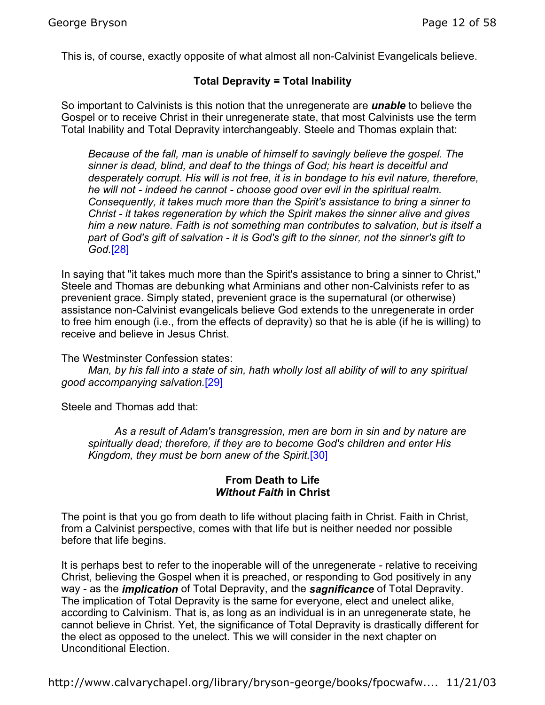This is, of course, exactly opposite of what almost all non-Calvinist Evangelicals believe.

### **Total Depravity = Total Inability**

So important to Calvinists is this notion that the unregenerate are *unable* to believe the Gospel or to receive Christ in their unregenerate state, that most Calvinists use the term Total Inability and Total Depravity interchangeably. Steele and Thomas explain that:

*Because of the fall, man is unable of himself to savingly believe the gospel. The sinner is dead, blind, and deaf to the things of God; his heart is deceitful and desperately corrupt. His will is not free, it is in bondage to his evil nature, therefore, he will not - indeed he cannot - choose good over evil in the spiritual realm. Consequently, it takes much more than the Spirit's assistance to bring a sinner to Christ - it takes regeneration by which the Spirit makes the sinner alive and gives him a new nature. Faith is not something man contributes to salvation, but is itself a part of God's gift of salvation - it is God's gift to the sinner, not the sinner's gift to God.*[28]

In saying that "it takes much more than the Spirit's assistance to bring a sinner to Christ," Steele and Thomas are debunking what Arminians and other non-Calvinists refer to as prevenient grace. Simply stated, prevenient grace is the supernatural (or otherwise) assistance non-Calvinist evangelicals believe God extends to the unregenerate in order to free him enough (i.e., from the effects of depravity) so that he is able (if he is willing) to receive and believe in Jesus Christ.

The Westminster Confession states:

*Man, by his fall into a state of sin, hath wholly lost all ability of will to any spiritual good accompanying salvation.*[29]

Steele and Thomas add that:

*As a result of Adam's transgression, men are born in sin and by nature are spiritually dead; therefore, if they are to become God's children and enter His Kingdom, they must be born anew of the Spirit.*[30]

#### **From Death to Life**  *Without Faith* **in Christ**

The point is that you go from death to life without placing faith in Christ. Faith in Christ, from a Calvinist perspective, comes with that life but is neither needed nor possible before that life begins.

It is perhaps best to refer to the inoperable will of the unregenerate - relative to receiving Christ, believing the Gospel when it is preached, or responding to God positively in any way - as the *implication* of Total Depravity, and the *sagnificance* of Total Depravity. The implication of Total Depravity is the same for everyone, elect and unelect alike, according to Calvinism. That is, as long as an individual is in an unregenerate state, he cannot believe in Christ. Yet, the significance of Total Depravity is drastically different for the elect as opposed to the unelect. This we will consider in the next chapter on Unconditional Election.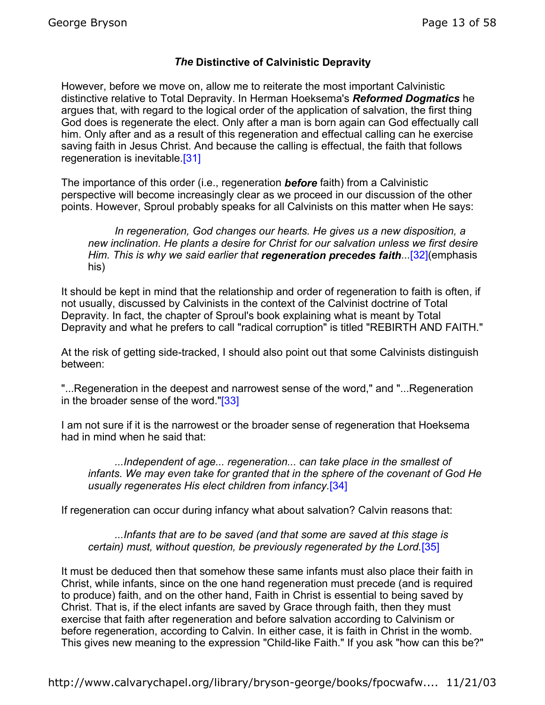### *The* **Distinctive of Calvinistic Depravity**

However, before we move on, allow me to reiterate the most important Calvinistic distinctive relative to Total Depravity. In Herman Hoeksema's *Reformed Dogmatics* he argues that, with regard to the logical order of the application of salvation, the first thing God does is regenerate the elect. Only after a man is born again can God effectually call him. Only after and as a result of this regeneration and effectual calling can he exercise saving faith in Jesus Christ. And because the calling is effectual, the faith that follows regeneration is inevitable [31]

The importance of this order (i.e., regeneration *before* faith) from a Calvinistic perspective will become increasingly clear as we proceed in our discussion of the other points. However, Sproul probably speaks for all Calvinists on this matter when He says:

*In regeneration, God changes our hearts. He gives us a new disposition, a new inclination. He plants a desire for Christ for our salvation unless we first desire Him. This is why we said earlier that regeneration precedes faith...*[32](emphasis his)

It should be kept in mind that the relationship and order of regeneration to faith is often, if not usually, discussed by Calvinists in the context of the Calvinist doctrine of Total Depravity. In fact, the chapter of Sproul's book explaining what is meant by Total Depravity and what he prefers to call "radical corruption" is titled "REBIRTH AND FAITH."

At the risk of getting side-tracked, I should also point out that some Calvinists distinguish between:

"...Regeneration in the deepest and narrowest sense of the word," and "...Regeneration in the broader sense of the word."[33]

I am not sure if it is the narrowest or the broader sense of regeneration that Hoeksema had in mind when he said that:

*...Independent of age... regeneration... can take place in the smallest of infants. We may even take for granted that in the sphere of the covenant of God He usually regenerates His elect children from infancy.*[34]

If regeneration can occur during infancy what about salvation? Calvin reasons that:

*...Infants that are to be saved (and that some are saved at this stage is certain) must, without question, be previously regenerated by the Lord.*[35]

It must be deduced then that somehow these same infants must also place their faith in Christ, while infants, since on the one hand regeneration must precede (and is required to produce) faith, and on the other hand, Faith in Christ is essential to being saved by Christ. That is, if the elect infants are saved by Grace through faith, then they must exercise that faith after regeneration and before salvation according to Calvinism or before regeneration, according to Calvin. In either case, it is faith in Christ in the womb. This gives new meaning to the expression "Child-like Faith." If you ask "how can this be?"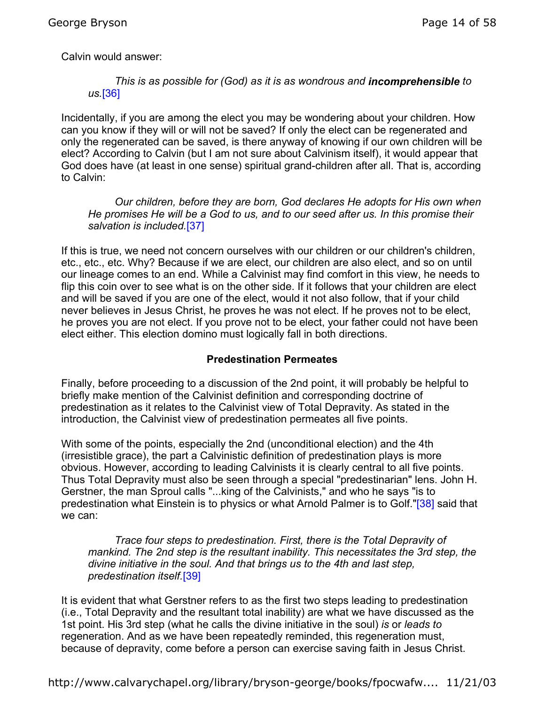Calvin would answer:

*This is as possible for (God) as it is as wondrous and incomprehensible to us.*[36]

Incidentally, if you are among the elect you may be wondering about your children. How can you know if they will or will not be saved? If only the elect can be regenerated and only the regenerated can be saved, is there anyway of knowing if our own children will be elect? According to Calvin (but I am not sure about Calvinism itself), it would appear that God does have (at least in one sense) spiritual grand-children after all. That is, according to Calvin:

*Our children, before they are born, God declares He adopts for His own when He promises He will be a God to us, and to our seed after us. In this promise their salvation is included.*[37]

If this is true, we need not concern ourselves with our children or our children's children, etc., etc., etc. Why? Because if we are elect, our children are also elect, and so on until our lineage comes to an end. While a Calvinist may find comfort in this view, he needs to flip this coin over to see what is on the other side. If it follows that your children are elect and will be saved if you are one of the elect, would it not also follow, that if your child never believes in Jesus Christ, he proves he was not elect. If he proves not to be elect, he proves you are not elect. If you prove not to be elect, your father could not have been elect either. This election domino must logically fall in both directions.

## **Predestination Permeates**

Finally, before proceeding to a discussion of the 2nd point, it will probably be helpful to briefly make mention of the Calvinist definition and corresponding doctrine of predestination as it relates to the Calvinist view of Total Depravity. As stated in the introduction, the Calvinist view of predestination permeates all five points.

With some of the points, especially the 2nd (unconditional election) and the 4th (irresistible grace), the part a Calvinistic definition of predestination plays is more obvious. However, according to leading Calvinists it is clearly central to all five points. Thus Total Depravity must also be seen through a special "predestinarian" lens. John H. Gerstner, the man Sproul calls "...king of the Calvinists," and who he says "is to predestination what Einstein is to physics or what Arnold Palmer is to Golf."[38] said that we can:

*Trace four steps to predestination. First, there is the Total Depravity of mankind. The 2nd step is the resultant inability. This necessitates the 3rd step, the divine initiative in the soul. And that brings us to the 4th and last step, predestination itself.*[39]

It is evident that what Gerstner refers to as the first two steps leading to predestination (i.e., Total Depravity and the resultant total inability) are what we have discussed as the 1st point. His 3rd step (what he calls the divine initiative in the soul) *is* or *leads to* regeneration. And as we have been repeatedly reminded, this regeneration must, because of depravity, come before a person can exercise saving faith in Jesus Christ.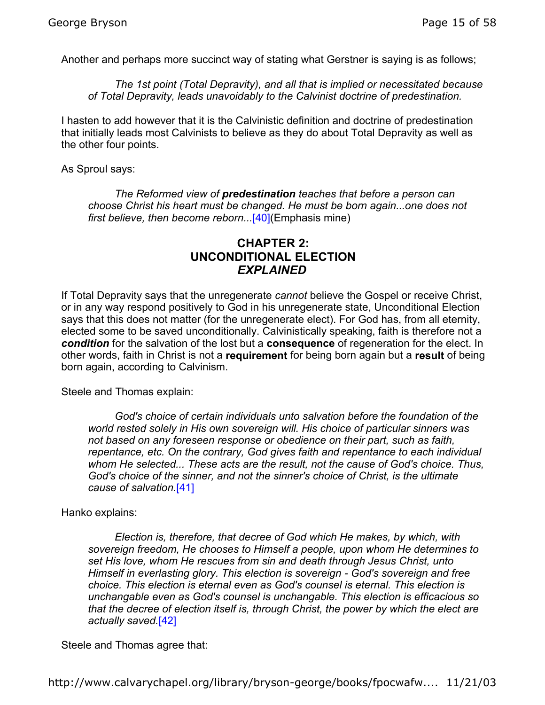Another and perhaps more succinct way of stating what Gerstner is saying is as follows;

*The 1st point (Total Depravity), and all that is implied or necessitated because of Total Depravity, leads unavoidably to the Calvinist doctrine of predestination.*

I hasten to add however that it is the Calvinistic definition and doctrine of predestination that initially leads most Calvinists to believe as they do about Total Depravity as well as the other four points.

As Sproul says:

*The Reformed view of predestination teaches that before a person can choose Christ his heart must be changed. He must be born again...one does not first believe, then become reborn...*[40](Emphasis mine)

# **CHAPTER 2: UNCONDITIONAL ELECTION**  *EXPLAINED*

If Total Depravity says that the unregenerate *cannot* believe the Gospel or receive Christ, or in any way respond positively to God in his unregenerate state, Unconditional Election says that this does not matter (for the unregenerate elect). For God has, from all eternity, elected some to be saved unconditionally. Calvinistically speaking, faith is therefore not a *condition* for the salvation of the lost but a **consequence** of regeneration for the elect. In other words, faith in Christ is not a **requirement** for being born again but a **result** of being born again, according to Calvinism.

Steele and Thomas explain:

*God's choice of certain individuals unto salvation before the foundation of the world rested solely in His own sovereign will. His choice of particular sinners was not based on any foreseen response or obedience on their part, such as faith, repentance, etc. On the contrary, God gives faith and repentance to each individual whom He selected... These acts are the result, not the cause of God's choice. Thus, God's choice of the sinner, and not the sinner's choice of Christ, is the ultimate cause of salvation.*[41]

Hanko explains:

*Election is, therefore, that decree of God which He makes, by which, with sovereign freedom, He chooses to Himself a people, upon whom He determines to set His love, whom He rescues from sin and death through Jesus Christ, unto Himself in everlasting glory. This election is sovereign - God's sovereign and free choice. This election is eternal even as God's counsel is eternal. This election is unchangable even as God's counsel is unchangable. This election is efficacious so that the decree of election itself is, through Christ, the power by which the elect are actually saved.*[42]

Steele and Thomas agree that: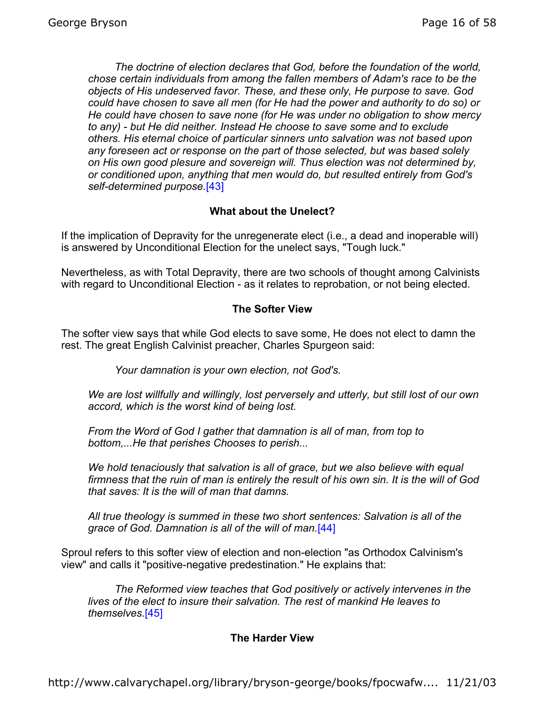*The doctrine of election declares that God, before the foundation of the world, chose certain individuals from among the fallen members of Adam's race to be the objects of His undeserved favor. These, and these only, He purpose to save. God could have chosen to save all men (for He had the power and authority to do so) or He could have chosen to save none (for He was under no obligation to show mercy to any) - but He did neither. Instead He choose to save some and to exclude others. His eternal choice of particular sinners unto salvation was not based upon any foreseen act or response on the part of those selected, but was based solely on His own good plesure and sovereign will. Thus election was not determined by, or conditioned upon, anything that men would do, but resulted entirely from God's self-determined purpose.*[43]

## **What about the Unelect?**

If the implication of Depravity for the unregenerate elect (i.e., a dead and inoperable will) is answered by Unconditional Election for the unelect says, "Tough luck."

Nevertheless, as with Total Depravity, there are two schools of thought among Calvinists with regard to Unconditional Election - as it relates to reprobation, or not being elected.

#### **The Softer View**

The softer view says that while God elects to save some, He does not elect to damn the rest. The great English Calvinist preacher, Charles Spurgeon said:

*Your damnation is your own election, not God's.* 

*We are lost willfully and willingly, lost perversely and utterly, but still lost of our own accord, which is the worst kind of being lost.* 

*From the Word of God I gather that damnation is all of man, from top to bottom,...He that perishes Chooses to perish...* 

*We hold tenaciously that salvation is all of grace, but we also believe with equal firmness that the ruin of man is entirely the result of his own sin. It is the will of God that saves: It is the will of man that damns.* 

*All true theology is summed in these two short sentences: Salvation is all of the grace of God. Damnation is all of the will of man.*[44]

Sproul refers to this softer view of election and non-election "as Orthodox Calvinism's view" and calls it "positive-negative predestination." He explains that:

*The Reformed view teaches that God positively or actively intervenes in the lives of the elect to insure their salvation. The rest of mankind He leaves to themselves.*[45]

#### **The Harder View**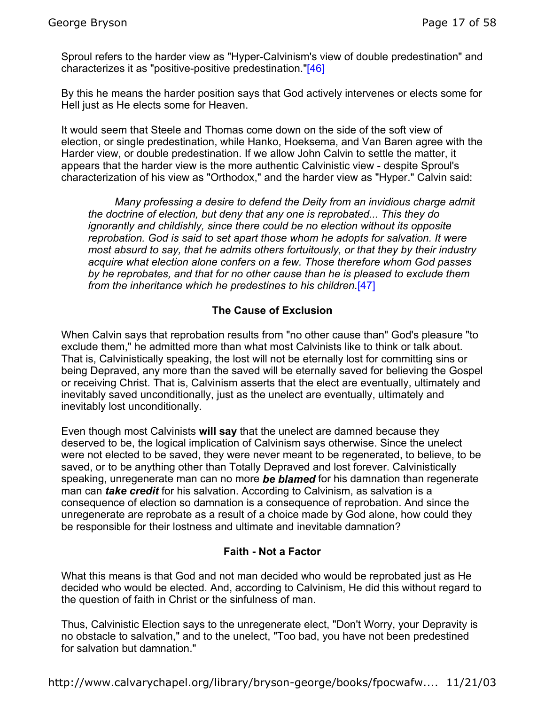Sproul refers to the harder view as "Hyper-Calvinism's view of double predestination" and characterizes it as "positive-positive predestination."[46]

By this he means the harder position says that God actively intervenes or elects some for Hell just as He elects some for Heaven.

It would seem that Steele and Thomas come down on the side of the soft view of election, or single predestination, while Hanko, Hoeksema, and Van Baren agree with the Harder view, or double predestination. If we allow John Calvin to settle the matter, it appears that the harder view is the more authentic Calvinistic view - despite Sproul's characterization of his view as "Orthodox," and the harder view as "Hyper." Calvin said:

*Many professing a desire to defend the Deity from an invidious charge admit the doctrine of election, but deny that any one is reprobated... This they do ignorantly and childishly, since there could be no election without its opposite reprobation. God is said to set apart those whom he adopts for salvation. It were most absurd to say, that he admits others fortuitously, or that they by their industry acquire what election alone confers on a few. Those therefore whom God passes by he reprobates, and that for no other cause than he is pleased to exclude them from the inheritance which he predestines to his children.*[47]

## **The Cause of Exclusion**

When Calvin says that reprobation results from "no other cause than" God's pleasure "to exclude them," he admitted more than what most Calvinists like to think or talk about. That is, Calvinistically speaking, the lost will not be eternally lost for committing sins or being Depraved, any more than the saved will be eternally saved for believing the Gospel or receiving Christ. That is, Calvinism asserts that the elect are eventually, ultimately and inevitably saved unconditionally, just as the unelect are eventually, ultimately and inevitably lost unconditionally.

Even though most Calvinists **will say** that the unelect are damned because they deserved to be, the logical implication of Calvinism says otherwise. Since the unelect were not elected to be saved, they were never meant to be regenerated, to believe, to be saved, or to be anything other than Totally Depraved and lost forever. Calvinistically speaking, unregenerate man can no more *be blamed* for his damnation than regenerate man can *take credit* for his salvation. According to Calvinism, as salvation is a consequence of election so damnation is a consequence of reprobation. And since the unregenerate are reprobate as a result of a choice made by God alone, how could they be responsible for their lostness and ultimate and inevitable damnation?

#### **Faith - Not a Factor**

What this means is that God and not man decided who would be reprobated just as He decided who would be elected. And, according to Calvinism, He did this without regard to the question of faith in Christ or the sinfulness of man.

Thus, Calvinistic Election says to the unregenerate elect, "Don't Worry, your Depravity is no obstacle to salvation," and to the unelect, "Too bad, you have not been predestined for salvation but damnation."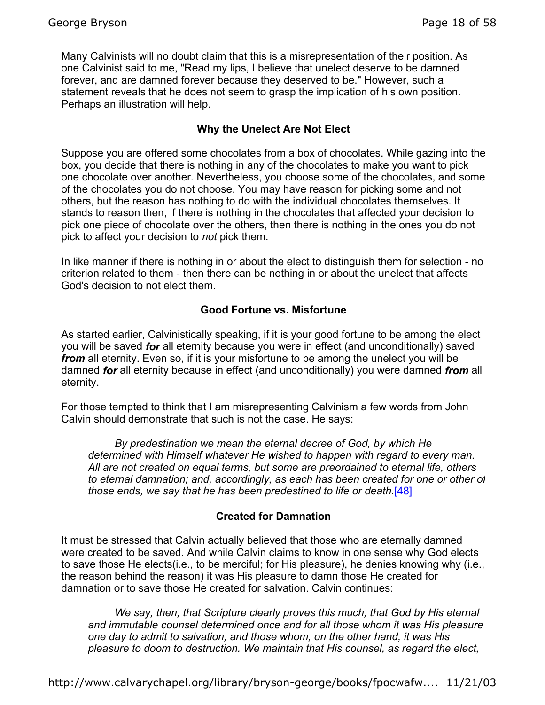Many Calvinists will no doubt claim that this is a misrepresentation of their position. As one Calvinist said to me, "Read my lips, I believe that unelect deserve to be damned forever, and are damned forever because they deserved to be." However, such a statement reveals that he does not seem to grasp the implication of his own position. Perhaps an illustration will help.

## **Why the Unelect Are Not Elect**

Suppose you are offered some chocolates from a box of chocolates. While gazing into the box, you decide that there is nothing in any of the chocolates to make you want to pick one chocolate over another. Nevertheless, you choose some of the chocolates, and some of the chocolates you do not choose. You may have reason for picking some and not others, but the reason has nothing to do with the individual chocolates themselves. It stands to reason then, if there is nothing in the chocolates that affected your decision to pick one piece of chocolate over the others, then there is nothing in the ones you do not pick to affect your decision to *not* pick them.

In like manner if there is nothing in or about the elect to distinguish them for selection - no criterion related to them - then there can be nothing in or about the unelect that affects God's decision to not elect them.

#### **Good Fortune vs. Misfortune**

As started earlier, Calvinistically speaking, if it is your good fortune to be among the elect you will be saved *for* all eternity because you were in effect (and unconditionally) saved *from* all eternity. Even so, if it is your misfortune to be among the unelect you will be damned *for* all eternity because in effect (and unconditionally) you were damned *from* all eternity.

For those tempted to think that I am misrepresenting Calvinism a few words from John Calvin should demonstrate that such is not the case. He says:

*By predestination we mean the eternal decree of God, by which He determined with Himself whatever He wished to happen with regard to every man. All are not created on equal terms, but some are preordained to eternal life, others to eternal damnation; and, accordingly, as each has been created for one or other of those ends, we say that he has been predestined to life or death.*[48]

#### **Created for Damnation**

It must be stressed that Calvin actually believed that those who are eternally damned were created to be saved. And while Calvin claims to know in one sense why God elects to save those He elects(i.e., to be merciful; for His pleasure), he denies knowing why (i.e., the reason behind the reason) it was His pleasure to damn those He created for damnation or to save those He created for salvation. Calvin continues:

*We say, then, that Scripture clearly proves this much, that God by His eternal and immutable counsel determined once and for all those whom it was His pleasure one day to admit to salvation, and those whom, on the other hand, it was His pleasure to doom to destruction. We maintain that His counsel, as regard the elect,*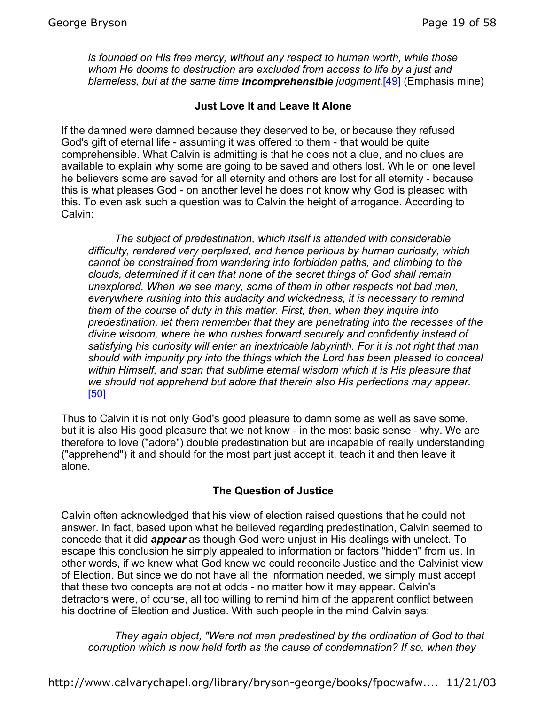*is founded on His free mercy, without any respect to human worth, while those whom He dooms to destruction are excluded from access to life by a just and blameless, but at the same time incomprehensible judgment.*[49] (Emphasis mine)

#### **Just Love It and Leave It Alone**

If the damned were damned because they deserved to be, or because they refused God's gift of eternal life - assuming it was offered to them - that would be quite comprehensible. What Calvin is admitting is that he does not a clue, and no clues are available to explain why some are going to be saved and others lost. While on one level he believers some are saved for all eternity and others are lost for all eternity - because this is what pleases God - on another level he does not know why God is pleased with this. To even ask such a question was to Calvin the height of arrogance. According to Calvin:

*The subject of predestination, which itself is attended with considerable difficulty, rendered very perplexed, and hence perilous by human curiosity, which cannot be constrained from wandering into forbidden paths, and climbing to the clouds, determined if it can that none of the secret things of God shall remain unexplored. When we see many, some of them in other respects not bad men, everywhere rushing into this audacity and wickedness, it is necessary to remind them of the course of duty in this matter. First, then, when they inquire into predestination, let them remember that they are penetrating into the recesses of the divine wisdom, where he who rushes forward securely and confidently instead of satisfying his curiosity will enter an inextricable labyrinth. For it is not right that man should with impunity pry into the things which the Lord has been pleased to conceal within Himself, and scan that sublime eternal wisdom which it is His pleasure that we should not apprehend but adore that therein also His perfections may appear.* [50]

Thus to Calvin it is not only God's good pleasure to damn some as well as save some, but it is also His good pleasure that we not know - in the most basic sense - why. We are therefore to love ("adore") double predestination but are incapable of really understanding ("apprehend") it and should for the most part just accept it, teach it and then leave it alone.

#### **The Question of Justice**

Calvin often acknowledged that his view of election raised questions that he could not answer. In fact, based upon what he believed regarding predestination, Calvin seemed to concede that it did *appear* as though God were unjust in His dealings with unelect. To escape this conclusion he simply appealed to information or factors "hidden" from us. In other words, if we knew what God knew we could reconcile Justice and the Calvinist view of Election. But since we do not have all the information needed, we simply must accept that these two concepts are not at odds - no matter how it may appear. Calvin's detractors were, of course, all too willing to remind him of the apparent conflict between his doctrine of Election and Justice. With such people in the mind Calvin says:

*They again object, "Were not men predestined by the ordination of God to that corruption which is now held forth as the cause of condemnation? If so, when they*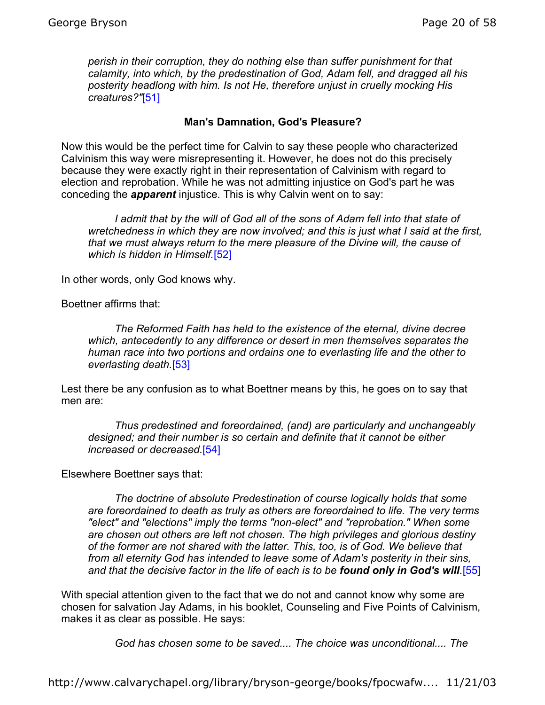*perish in their corruption, they do nothing else than suffer punishment for that calamity, into which, by the predestination of God, Adam fell, and dragged all his posterity headlong with him. Is not He, therefore unjust in cruelly mocking His creatures?"*[51]

### **Man's Damnation, God's Pleasure?**

Now this would be the perfect time for Calvin to say these people who characterized Calvinism this way were misrepresenting it. However, he does not do this precisely because they were exactly right in their representation of Calvinism with regard to election and reprobation. While he was not admitting injustice on God's part he was conceding the *apparent* injustice. This is why Calvin went on to say:

*I admit that by the will of God all of the sons of Adam fell into that state of wretchedness in which they are now involved; and this is just what I said at the first, that we must always return to the mere pleasure of the Divine will, the cause of which is hidden in Himself.*[52]

In other words, only God knows why.

Boettner affirms that:

*The Reformed Faith has held to the existence of the eternal, divine decree which, antecedently to any difference or desert in men themselves separates the human race into two portions and ordains one to everlasting life and the other to everlasting death.*[53]

Lest there be any confusion as to what Boettner means by this, he goes on to say that men are:

*Thus predestined and foreordained, (and) are particularly and unchangeably designed; and their number is so certain and definite that it cannot be either increased or decreased.*[54]

Elsewhere Boettner says that:

*The doctrine of absolute Predestination of course logically holds that some are foreordained to death as truly as others are foreordained to life. The very terms "elect" and "elections" imply the terms "non-elect" and "reprobation." When some are chosen out others are left not chosen. The high privileges and glorious destiny of the former are not shared with the latter. This, too, is of God. We believe that from all eternity God has intended to leave some of Adam's posterity in their sins, and that the decisive factor in the life of each is to be found only in God's will.*[55]

With special attention given to the fact that we do not and cannot know why some are chosen for salvation Jay Adams, in his booklet, Counseling and Five Points of Calvinism, makes it as clear as possible. He says:

*God has chosen some to be saved.... The choice was unconditional.... The*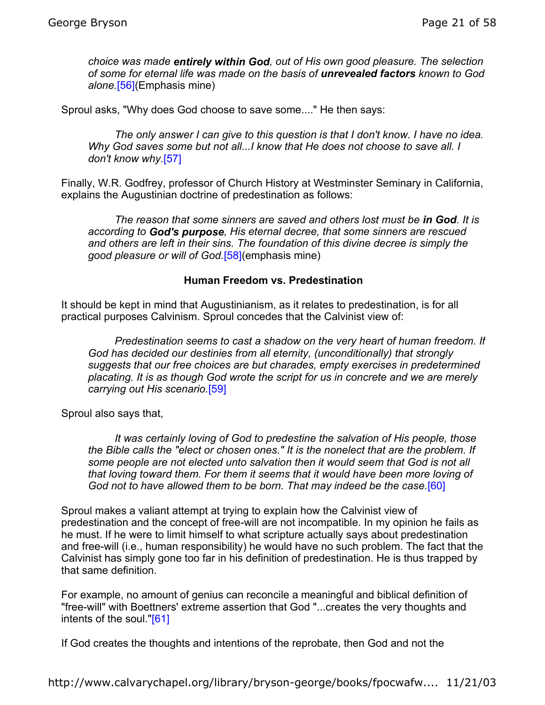*choice was made entirely within God, out of His own good pleasure. The selection of some for eternal life was made on the basis of unrevealed factors known to God alone.*[56](Emphasis mine)

Sproul asks, "Why does God choose to save some...." He then says:

*The only answer I can give to this question is that I don't know. I have no idea. Why God saves some but not all...I know that He does not choose to save all. I don't know why.*[57]

Finally, W.R. Godfrey, professor of Church History at Westminster Seminary in California, explains the Augustinian doctrine of predestination as follows:

*The reason that some sinners are saved and others lost must be in God. It is according to God's purpose, His eternal decree, that some sinners are rescued and others are left in their sins. The foundation of this divine decree is simply the good pleasure or will of God.*[58](emphasis mine)

#### **Human Freedom vs. Predestination**

It should be kept in mind that Augustinianism, as it relates to predestination, is for all practical purposes Calvinism. Sproul concedes that the Calvinist view of:

*Predestination seems to cast a shadow on the very heart of human freedom. If God has decided our destinies from all eternity, (unconditionally) that strongly suggests that our free choices are but charades, empty exercises in predetermined placating. It is as though God wrote the script for us in concrete and we are merely carrying out His scenario.*[59]

Sproul also says that,

*It was certainly loving of God to predestine the salvation of His people, those the Bible calls the "elect or chosen ones." It is the nonelect that are the problem. If some people are not elected unto salvation then it would seem that God is not all that loving toward them. For them it seems that it would have been more loving of God not to have allowed them to be born. That may indeed be the case.*[60]

Sproul makes a valiant attempt at trying to explain how the Calvinist view of predestination and the concept of free-will are not incompatible. In my opinion he fails as he must. If he were to limit himself to what scripture actually says about predestination and free-will (i.e., human responsibility) he would have no such problem. The fact that the Calvinist has simply gone too far in his definition of predestination. He is thus trapped by that same definition.

For example, no amount of genius can reconcile a meaningful and biblical definition of "free-will" with Boettners' extreme assertion that God "...creates the very thoughts and intents of the soul."[61]

If God creates the thoughts and intentions of the reprobate, then God and not the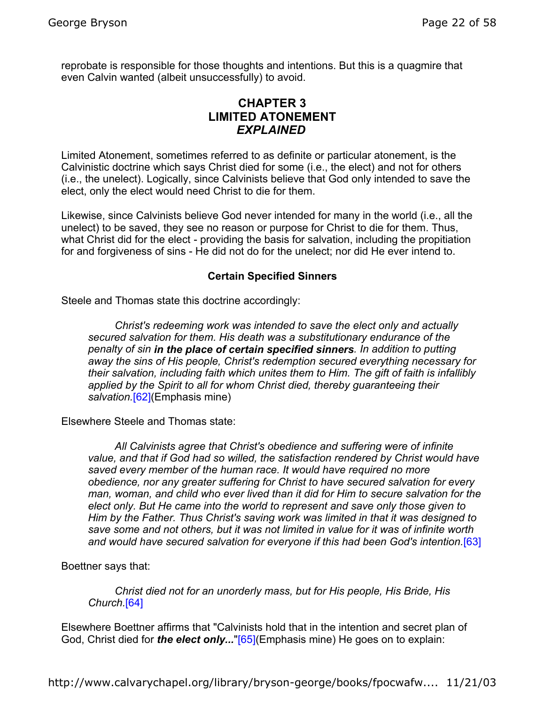reprobate is responsible for those thoughts and intentions. But this is a quagmire that even Calvin wanted (albeit unsuccessfully) to avoid.

# **CHAPTER 3 LIMITED ATONEMENT**  *EXPLAINED*

Limited Atonement, sometimes referred to as definite or particular atonement, is the Calvinistic doctrine which says Christ died for some (i.e., the elect) and not for others (i.e., the unelect). Logically, since Calvinists believe that God only intended to save the elect, only the elect would need Christ to die for them.

Likewise, since Calvinists believe God never intended for many in the world (i.e., all the unelect) to be saved, they see no reason or purpose for Christ to die for them. Thus, what Christ did for the elect - providing the basis for salvation, including the propitiation for and forgiveness of sins - He did not do for the unelect; nor did He ever intend to.

#### **Certain Specified Sinners**

Steele and Thomas state this doctrine accordingly:

*Christ's redeeming work was intended to save the elect only and actually secured salvation for them. His death was a substitutionary endurance of the penalty of sin in the place of certain specified sinners. In addition to putting away the sins of His people, Christ's redemption secured everything necessary for their salvation, including faith which unites them to Him. The gift of faith is infallibly applied by the Spirit to all for whom Christ died, thereby guaranteeing their salvation.*[62](Emphasis mine)

Elsewhere Steele and Thomas state:

*All Calvinists agree that Christ's obedience and suffering were of infinite value, and that if God had so willed, the satisfaction rendered by Christ would have saved every member of the human race. It would have required no more obedience, nor any greater suffering for Christ to have secured salvation for every man, woman, and child who ever lived than it did for Him to secure salvation for the elect only. But He came into the world to represent and save only those given to Him by the Father. Thus Christ's saving work was limited in that it was designed to save some and not others, but it was not limited in value for it was of infinite worth and would have secured salvation for everyone if this had been God's intention.*[63]

Boettner says that:

*Christ died not for an unorderly mass, but for His people, His Bride, His Church.*[64]

Elsewhere Boettner affirms that "Calvinists hold that in the intention and secret plan of God, Christ died for *the elect only...*"[65](Emphasis mine) He goes on to explain: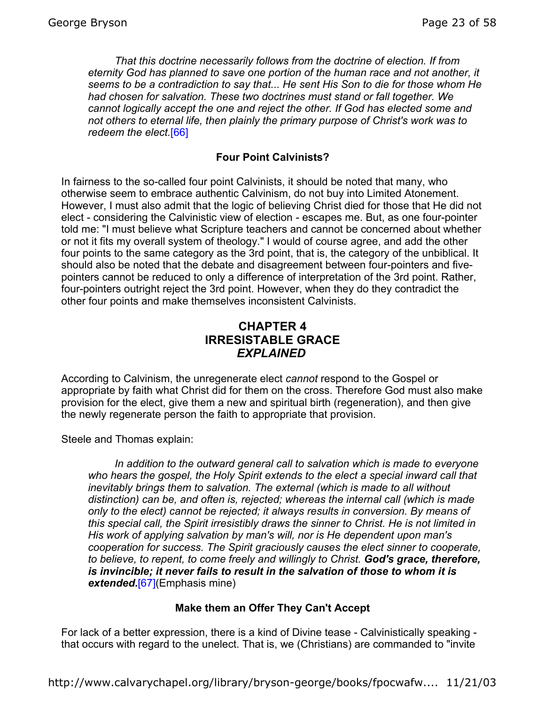*That this doctrine necessarily follows from the doctrine of election. If from eternity God has planned to save one portion of the human race and not another, it seems to be a contradiction to say that... He sent His Son to die for those whom He had chosen for salvation. These two doctrines must stand or fall together. We cannot logically accept the one and reject the other. If God has elected some and not others to eternal life, then plainly the primary purpose of Christ's work was to redeem the elect.*[66]

### **Four Point Calvinists?**

In fairness to the so-called four point Calvinists, it should be noted that many, who otherwise seem to embrace authentic Calvinism, do not buy into Limited Atonement. However, I must also admit that the logic of believing Christ died for those that He did not elect - considering the Calvinistic view of election - escapes me. But, as one four-pointer told me: "I must believe what Scripture teachers and cannot be concerned about whether or not it fits my overall system of theology." I would of course agree, and add the other four points to the same category as the 3rd point, that is, the category of the unbiblical. It should also be noted that the debate and disagreement between four-pointers and fivepointers cannot be reduced to only a difference of interpretation of the 3rd point. Rather, four-pointers outright reject the 3rd point. However, when they do they contradict the other four points and make themselves inconsistent Calvinists.

# **CHAPTER 4 IRRESISTABLE GRACE**  *EXPLAINED*

According to Calvinism, the unregenerate elect *cannot* respond to the Gospel or appropriate by faith what Christ did for them on the cross. Therefore God must also make provision for the elect, give them a new and spiritual birth (regeneration), and then give the newly regenerate person the faith to appropriate that provision.

Steele and Thomas explain:

*In addition to the outward general call to salvation which is made to everyone who hears the gospel, the Holy Spirit extends to the elect a special inward call that inevitably brings them to salvation. The external (which is made to all without distinction) can be, and often is, rejected; whereas the internal call (which is made only to the elect) cannot be rejected; it always results in conversion. By means of this special call, the Spirit irresistibly draws the sinner to Christ. He is not limited in His work of applying salvation by man's will, nor is He dependent upon man's cooperation for success. The Spirit graciously causes the elect sinner to cooperate, to believe, to repent, to come freely and willingly to Christ. God's grace, therefore, is invincible; it never fails to result in the salvation of those to whom it is extended.*[67](Emphasis mine)

#### **Make them an Offer They Can't Accept**

For lack of a better expression, there is a kind of Divine tease - Calvinistically speaking that occurs with regard to the unelect. That is, we (Christians) are commanded to "invite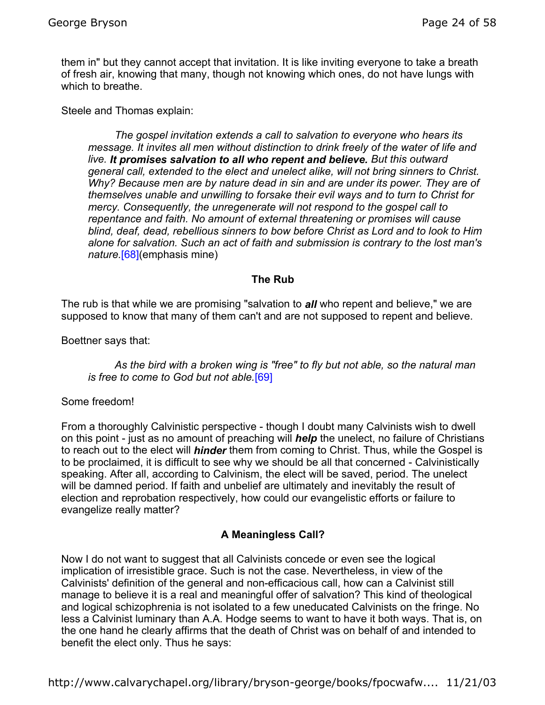them in" but they cannot accept that invitation. It is like inviting everyone to take a breath of fresh air, knowing that many, though not knowing which ones, do not have lungs with which to breathe.

Steele and Thomas explain:

*The gospel invitation extends a call to salvation to everyone who hears its message. It invites all men without distinction to drink freely of the water of life and live. It promises salvation to all who repent and believe. But this outward general call, extended to the elect and unelect alike, will not bring sinners to Christ. Why? Because men are by nature dead in sin and are under its power. They are of themselves unable and unwilling to forsake their evil ways and to turn to Christ for mercy. Consequently, the unregenerate will not respond to the gospel call to repentance and faith. No amount of external threatening or promises will cause blind, deaf, dead, rebellious sinners to bow before Christ as Lord and to look to Him alone for salvation. Such an act of faith and submission is contrary to the lost man's nature.*[68](emphasis mine)

#### **The Rub**

The rub is that while we are promising "salvation to *all* who repent and believe," we are supposed to know that many of them can't and are not supposed to repent and believe.

Boettner says that:

*As the bird with a broken wing is "free" to fly but not able, so the natural man is free to come to God but not able.*[69]

#### Some freedom!

From a thoroughly Calvinistic perspective - though I doubt many Calvinists wish to dwell on this point - just as no amount of preaching will *help* the unelect, no failure of Christians to reach out to the elect will *hinder* them from coming to Christ. Thus, while the Gospel is to be proclaimed, it is difficult to see why we should be all that concerned - Calvinistically speaking. After all, according to Calvinism, the elect will be saved, period. The unelect will be damned period. If faith and unbelief are ultimately and inevitably the result of election and reprobation respectively, how could our evangelistic efforts or failure to evangelize really matter?

#### **A Meaningless Call?**

Now I do not want to suggest that all Calvinists concede or even see the logical implication of irresistible grace. Such is not the case. Nevertheless, in view of the Calvinists' definition of the general and non-efficacious call, how can a Calvinist still manage to believe it is a real and meaningful offer of salvation? This kind of theological and logical schizophrenia is not isolated to a few uneducated Calvinists on the fringe. No less a Calvinist luminary than A.A. Hodge seems to want to have it both ways. That is, on the one hand he clearly affirms that the death of Christ was on behalf of and intended to benefit the elect only. Thus he says: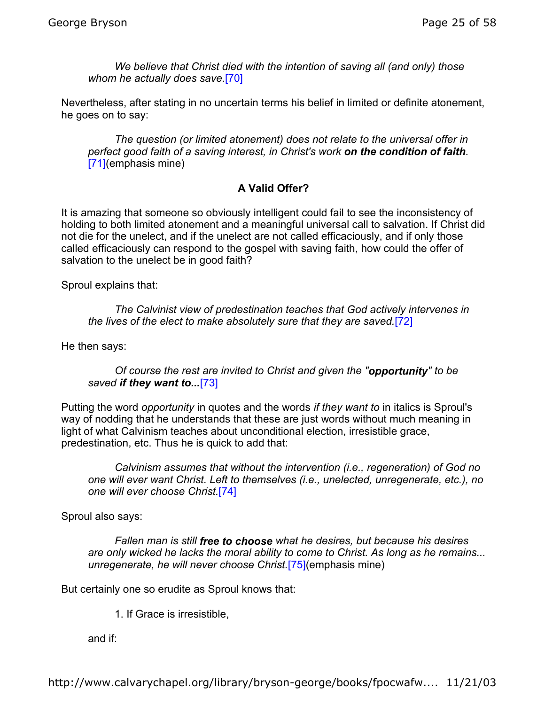*We believe that Christ died with the intention of saving all (and only) those whom he actually does save.*[70]

Nevertheless, after stating in no uncertain terms his belief in limited or definite atonement, he goes on to say:

*The question (or limited atonement) does not relate to the universal offer in perfect good faith of a saving interest, in Christ's work on the condition of faith.* [71](emphasis mine)

# **A Valid Offer?**

It is amazing that someone so obviously intelligent could fail to see the inconsistency of holding to both limited atonement and a meaningful universal call to salvation. If Christ did not die for the unelect, and if the unelect are not called efficaciously, and if only those called efficaciously can respond to the gospel with saving faith, how could the offer of salvation to the unelect be in good faith?

Sproul explains that:

*The Calvinist view of predestination teaches that God actively intervenes in the lives of the elect to make absolutely sure that they are saved.*[72]

He then says:

*Of course the rest are invited to Christ and given the "opportunity" to be saved if they want to...*[73]

Putting the word *opportunity* in quotes and the words *if they want to* in italics is Sproul's way of nodding that he understands that these are just words without much meaning in light of what Calvinism teaches about unconditional election, irresistible grace, predestination, etc. Thus he is quick to add that:

*Calvinism assumes that without the intervention (i.e., regeneration) of God no one will ever want Christ. Left to themselves (i.e., unelected, unregenerate, etc.), no one will ever choose Christ.*[74]

Sproul also says:

*Fallen man is still free to choose what he desires, but because his desires are only wicked he lacks the moral ability to come to Christ. As long as he remains... unregenerate, he will never choose Christ.*[75](emphasis mine)

But certainly one so erudite as Sproul knows that:

1. If Grace is irresistible,

and if: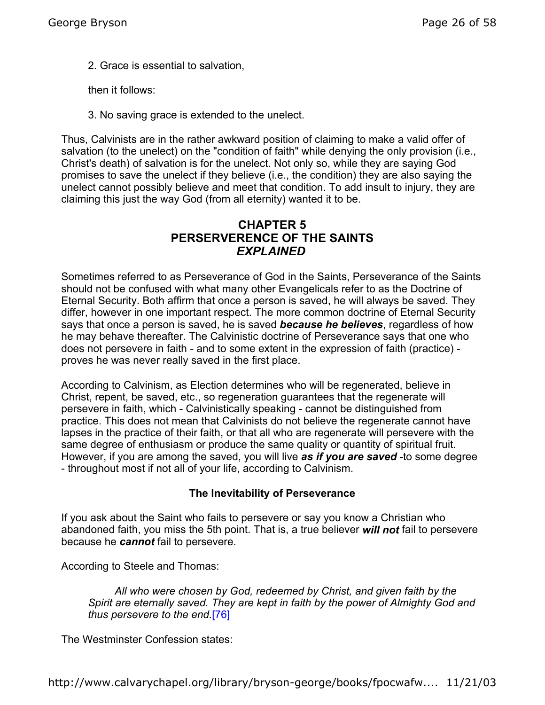2. Grace is essential to salvation,

then it follows:

3. No saving grace is extended to the unelect.

Thus, Calvinists are in the rather awkward position of claiming to make a valid offer of salvation (to the unelect) on the "condition of faith" while denying the only provision (i.e., Christ's death) of salvation is for the unelect. Not only so, while they are saying God promises to save the unelect if they believe (i.e., the condition) they are also saying the unelect cannot possibly believe and meet that condition. To add insult to injury, they are claiming this just the way God (from all eternity) wanted it to be.

# **CHAPTER 5 PERSERVERENCE OF THE SAINTS**  *EXPLAINED*

Sometimes referred to as Perseverance of God in the Saints, Perseverance of the Saints should not be confused with what many other Evangelicals refer to as the Doctrine of Eternal Security. Both affirm that once a person is saved, he will always be saved. They differ, however in one important respect. The more common doctrine of Eternal Security says that once a person is saved, he is saved *because he believes*, regardless of how he may behave thereafter. The Calvinistic doctrine of Perseverance says that one who does not persevere in faith - and to some extent in the expression of faith (practice) proves he was never really saved in the first place.

According to Calvinism, as Election determines who will be regenerated, believe in Christ, repent, be saved, etc., so regeneration guarantees that the regenerate will persevere in faith, which - Calvinistically speaking - cannot be distinguished from practice. This does not mean that Calvinists do not believe the regenerate cannot have lapses in the practice of their faith, or that all who are regenerate will persevere with the same degree of enthusiasm or produce the same quality or quantity of spiritual fruit. However, if you are among the saved, you will live *as if you are saved* -to some degree - throughout most if not all of your life, according to Calvinism.

#### **The Inevitability of Perseverance**

If you ask about the Saint who fails to persevere or say you know a Christian who abandoned faith, you miss the 5th point. That is, a true believer *will not* fail to persevere because he *cannot* fail to persevere.

According to Steele and Thomas:

*All who were chosen by God, redeemed by Christ, and given faith by the Spirit are eternally saved. They are kept in faith by the power of Almighty God and thus persevere to the end.*[76]

The Westminster Confession states: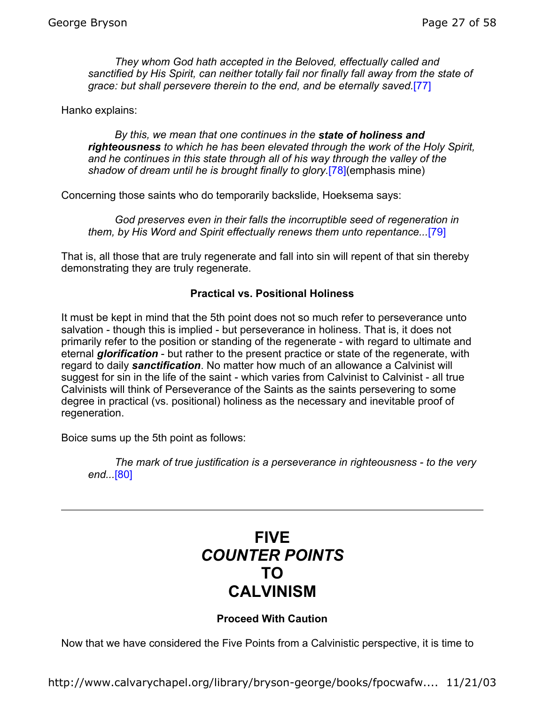*They whom God hath accepted in the Beloved, effectually called and sanctified by His Spirit, can neither totally fail nor finally fall away from the state of grace: but shall persevere therein to the end, and be eternally saved.*[77]

Hanko explains:

*By this, we mean that one continues in the state of holiness and righteousness to which he has been elevated through the work of the Holy Spirit, and he continues in this state through all of his way through the valley of the shadow of dream until he is brought finally to glory.*[78](emphasis mine)

Concerning those saints who do temporarily backslide, Hoeksema says:

*God preserves even in their falls the incorruptible seed of regeneration in them, by His Word and Spirit effectually renews them unto repentance...*[79]

That is, all those that are truly regenerate and fall into sin will repent of that sin thereby demonstrating they are truly regenerate.

#### **Practical vs. Positional Holiness**

It must be kept in mind that the 5th point does not so much refer to perseverance unto salvation - though this is implied - but perseverance in holiness. That is, it does not primarily refer to the position or standing of the regenerate - with regard to ultimate and eternal *glorification* - but rather to the present practice or state of the regenerate, with regard to daily *sanctification*. No matter how much of an allowance a Calvinist will suggest for sin in the life of the saint - which varies from Calvinist to Calvinist - all true Calvinists will think of Perseverance of the Saints as the saints persevering to some degree in practical (vs. positional) holiness as the necessary and inevitable proof of regeneration.

Boice sums up the 5th point as follows:

*The mark of true justification is a perseverance in righteousness - to the very end...*[80]

# **FIVE**  *COUNTER POINTS* **TO CALVINISM**

#### **Proceed With Caution**

Now that we have considered the Five Points from a Calvinistic perspective, it is time to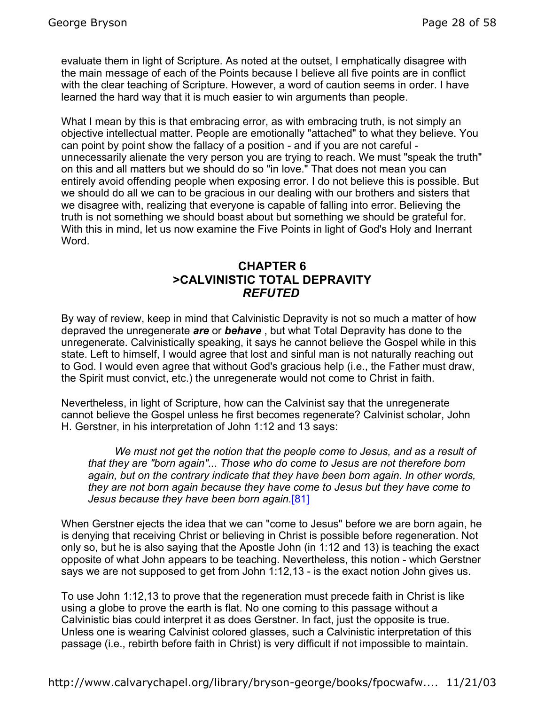evaluate them in light of Scripture. As noted at the outset, I emphatically disagree with the main message of each of the Points because I believe all five points are in conflict with the clear teaching of Scripture. However, a word of caution seems in order. I have learned the hard way that it is much easier to win arguments than people.

What I mean by this is that embracing error, as with embracing truth, is not simply an objective intellectual matter. People are emotionally "attached" to what they believe. You can point by point show the fallacy of a position - and if you are not careful unnecessarily alienate the very person you are trying to reach. We must "speak the truth" on this and all matters but we should do so "in love." That does not mean you can entirely avoid offending people when exposing error. I do not believe this is possible. But we should do all we can to be gracious in our dealing with our brothers and sisters that we disagree with, realizing that everyone is capable of falling into error. Believing the truth is not something we should boast about but something we should be grateful for. With this in mind, let us now examine the Five Points in light of God's Holy and Inerrant Word.

# **CHAPTER 6 >CALVINISTIC TOTAL DEPRAVITY**  *REFUTED*

By way of review, keep in mind that Calvinistic Depravity is not so much a matter of how depraved the unregenerate *are* or *behave* , but what Total Depravity has done to the unregenerate. Calvinistically speaking, it says he cannot believe the Gospel while in this state. Left to himself, I would agree that lost and sinful man is not naturally reaching out to God. I would even agree that without God's gracious help (i.e., the Father must draw, the Spirit must convict, etc.) the unregenerate would not come to Christ in faith.

Nevertheless, in light of Scripture, how can the Calvinist say that the unregenerate cannot believe the Gospel unless he first becomes regenerate? Calvinist scholar, John H. Gerstner, in his interpretation of John 1:12 and 13 says:

*We must not get the notion that the people come to Jesus, and as a result of that they are "born again"... Those who do come to Jesus are not therefore born again, but on the contrary indicate that they have been born again. In other words, they are not born again because they have come to Jesus but they have come to Jesus because they have been born again.*[81]

When Gerstner ejects the idea that we can "come to Jesus" before we are born again, he is denying that receiving Christ or believing in Christ is possible before regeneration. Not only so, but he is also saying that the Apostle John (in 1:12 and 13) is teaching the exact opposite of what John appears to be teaching. Nevertheless, this notion - which Gerstner says we are not supposed to get from John 1:12,13 - is the exact notion John gives us.

To use John 1:12,13 to prove that the regeneration must precede faith in Christ is like using a globe to prove the earth is flat. No one coming to this passage without a Calvinistic bias could interpret it as does Gerstner. In fact, just the opposite is true. Unless one is wearing Calvinist colored glasses, such a Calvinistic interpretation of this passage (i.e., rebirth before faith in Christ) is very difficult if not impossible to maintain.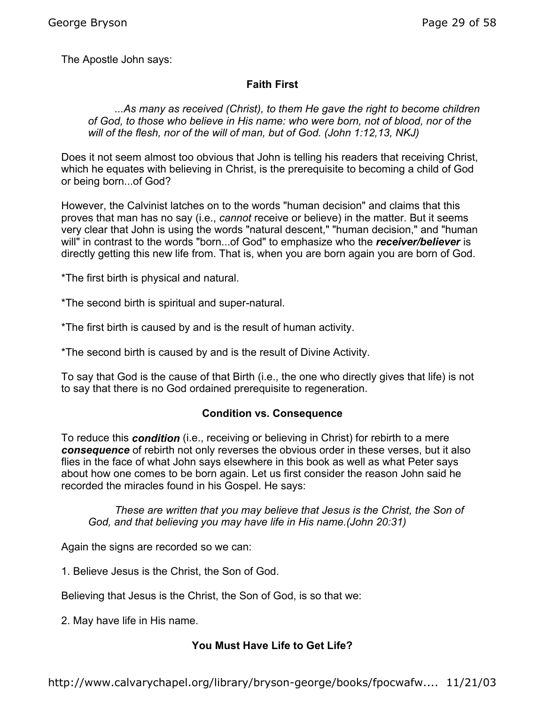The Apostle John says:

## **Faith First**

*...As many as received (Christ), to them He gave the right to become children of God, to those who believe in His name: who were born, not of blood, nor of the will of the flesh, nor of the will of man, but of God. (John 1:12,13, NKJ)*

Does it not seem almost too obvious that John is telling his readers that receiving Christ, which he equates with believing in Christ, is the prerequisite to becoming a child of God or being born...of God?

However, the Calvinist latches on to the words "human decision" and claims that this proves that man has no say (i.e., *cannot* receive or believe) in the matter. But it seems very clear that John is using the words "natural descent," "human decision," and "human will" in contrast to the words "born...of God" to emphasize who the *receiver/believer* is directly getting this new life from. That is, when you are born again you are born of God.

\*The first birth is physical and natural.

\*The second birth is spiritual and super-natural.

\*The first birth is caused by and is the result of human activity.

\*The second birth is caused by and is the result of Divine Activity.

To say that God is the cause of that Birth (i.e., the one who directly gives that life) is not to say that there is no God ordained prerequisite to regeneration.

#### **Condition vs. Consequence**

To reduce this *condition* (i.e., receiving or believing in Christ) for rebirth to a mere *consequence* of rebirth not only reverses the obvious order in these verses, but it also flies in the face of what John says elsewhere in this book as well as what Peter says about how one comes to be born again. Let us first consider the reason John said he recorded the miracles found in his Gospel. He says:

*These are written that you may believe that Jesus is the Christ, the Son of God, and that believing you may have life in His name.(John 20:31)*

Again the signs are recorded so we can:

1. Believe Jesus is the Christ, the Son of God.

Believing that Jesus is the Christ, the Son of God, is so that we:

2. May have life in His name.

#### **You Must Have Life to Get Life?**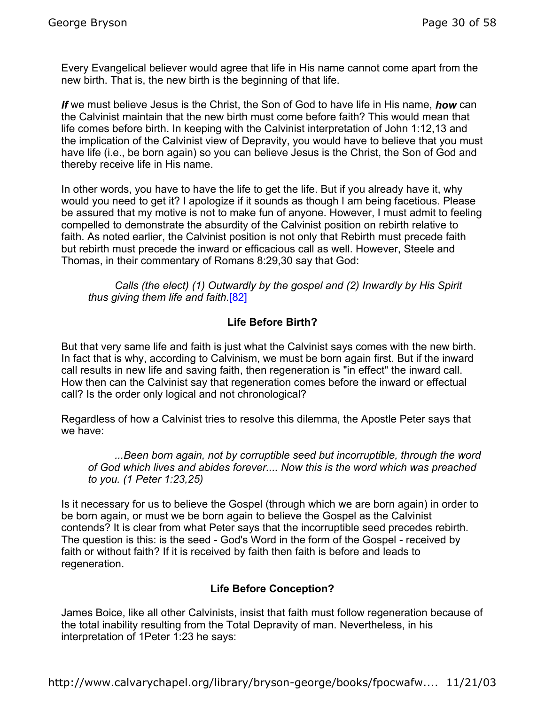Every Evangelical believer would agree that life in His name cannot come apart from the new birth. That is, the new birth is the beginning of that life.

*If* we must believe Jesus is the Christ, the Son of God to have life in His name, *how* can the Calvinist maintain that the new birth must come before faith? This would mean that life comes before birth. In keeping with the Calvinist interpretation of John 1:12,13 and the implication of the Calvinist view of Depravity, you would have to believe that you must have life (i.e., be born again) so you can believe Jesus is the Christ, the Son of God and thereby receive life in His name.

In other words, you have to have the life to get the life. But if you already have it, why would you need to get it? I apologize if it sounds as though I am being facetious. Please be assured that my motive is not to make fun of anyone. However, I must admit to feeling compelled to demonstrate the absurdity of the Calvinist position on rebirth relative to faith. As noted earlier, the Calvinist position is not only that Rebirth must precede faith but rebirth must precede the inward or efficacious call as well. However, Steele and Thomas, in their commentary of Romans 8:29,30 say that God:

*Calls (the elect) (1) Outwardly by the gospel and (2) Inwardly by His Spirit thus giving them life and faith.*[82]

## **Life Before Birth?**

But that very same life and faith is just what the Calvinist says comes with the new birth. In fact that is why, according to Calvinism, we must be born again first. But if the inward call results in new life and saving faith, then regeneration is "in effect" the inward call. How then can the Calvinist say that regeneration comes before the inward or effectual call? Is the order only logical and not chronological?

Regardless of how a Calvinist tries to resolve this dilemma, the Apostle Peter says that we have:

*...Been born again, not by corruptible seed but incorruptible, through the word of God which lives and abides forever.... Now this is the word which was preached to you. (1 Peter 1:23,25)*

Is it necessary for us to believe the Gospel (through which we are born again) in order to be born again, or must we be born again to believe the Gospel as the Calvinist contends? It is clear from what Peter says that the incorruptible seed precedes rebirth. The question is this: is the seed - God's Word in the form of the Gospel - received by faith or without faith? If it is received by faith then faith is before and leads to regeneration.

## **Life Before Conception?**

James Boice, like all other Calvinists, insist that faith must follow regeneration because of the total inability resulting from the Total Depravity of man. Nevertheless, in his interpretation of 1Peter 1:23 he says: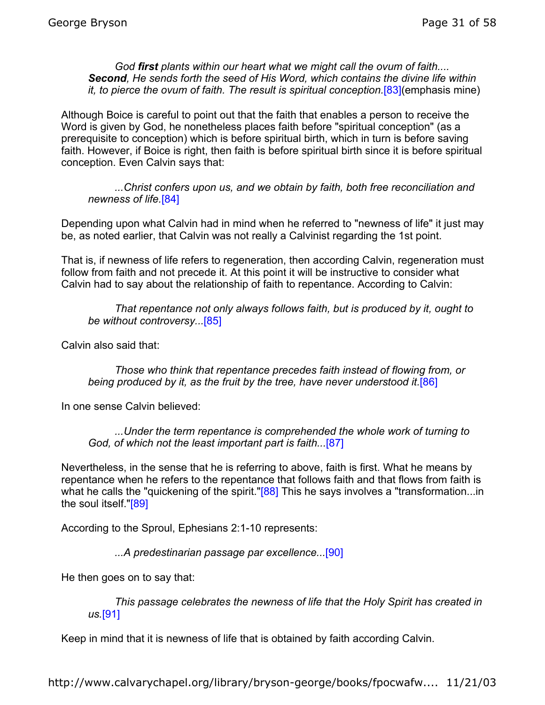*God first plants within our heart what we might call the ovum of faith.... Second, He sends forth the seed of His Word, which contains the divine life within it, to pierce the ovum of faith. The result is spiritual conception.*[83] (emphasis mine)

Although Boice is careful to point out that the faith that enables a person to receive the Word is given by God, he nonetheless places faith before "spiritual conception" (as a prerequisite to conception) which is before spiritual birth, which in turn is before saving faith. However, if Boice is right, then faith is before spiritual birth since it is before spiritual conception. Even Calvin says that:

*...Christ confers upon us, and we obtain by faith, both free reconciliation and newness of life.*[84]

Depending upon what Calvin had in mind when he referred to "newness of life" it just may be, as noted earlier, that Calvin was not really a Calvinist regarding the 1st point.

That is, if newness of life refers to regeneration, then according Calvin, regeneration must follow from faith and not precede it. At this point it will be instructive to consider what Calvin had to say about the relationship of faith to repentance. According to Calvin:

*That repentance not only always follows faith, but is produced by it, ought to be without controversy...*[85]

Calvin also said that:

*Those who think that repentance precedes faith instead of flowing from, or being produced by it, as the fruit by the tree, have never understood it.*[86]

In one sense Calvin believed:

*...Under the term repentance is comprehended the whole work of turning to God, of which not the least important part is faith...*[87]

Nevertheless, in the sense that he is referring to above, faith is first. What he means by repentance when he refers to the repentance that follows faith and that flows from faith is what he calls the "quickening of the spirit."[88] This he says involves a "transformation...in the soul itself."[89]

According to the Sproul, Ephesians 2:1-10 represents:

*...A predestinarian passage par excellence...*[90]

He then goes on to say that:

*This passage celebrates the newness of life that the Holy Spirit has created in us.*[91]

Keep in mind that it is newness of life that is obtained by faith according Calvin.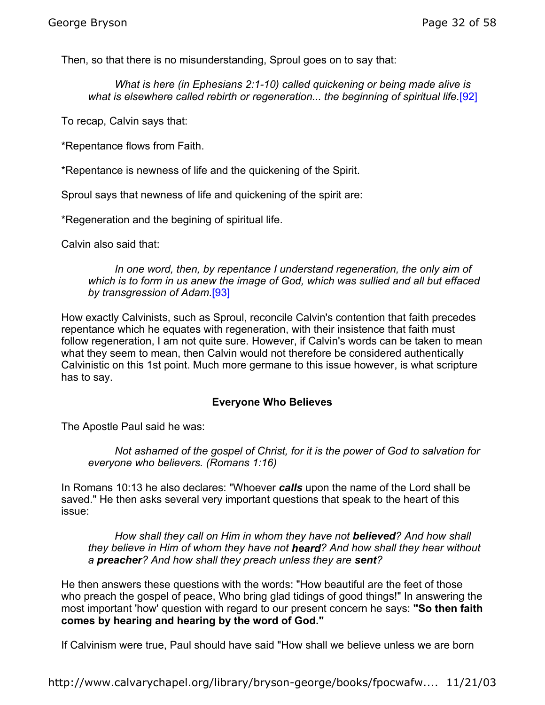Then, so that there is no misunderstanding, Sproul goes on to say that:

*What is here (in Ephesians 2:1-10) called quickening or being made alive is what is elsewhere called rebirth or regeneration... the beginning of spiritual life.*[92]

To recap, Calvin says that:

\*Repentance flows from Faith.

\*Repentance is newness of life and the quickening of the Spirit.

Sproul says that newness of life and quickening of the spirit are:

\*Regeneration and the begining of spiritual life.

Calvin also said that:

*In one word, then, by repentance I understand regeneration, the only aim of which is to form in us anew the image of God, which was sullied and all but effaced by transgression of Adam.*[93]

How exactly Calvinists, such as Sproul, reconcile Calvin's contention that faith precedes repentance which he equates with regeneration, with their insistence that faith must follow regeneration, I am not quite sure. However, if Calvin's words can be taken to mean what they seem to mean, then Calvin would not therefore be considered authentically Calvinistic on this 1st point. Much more germane to this issue however, is what scripture has to say.

#### **Everyone Who Believes**

The Apostle Paul said he was:

*Not ashamed of the gospel of Christ, for it is the power of God to salvation for everyone who believers. (Romans 1:16)*

In Romans 10:13 he also declares: "Whoever *calls* upon the name of the Lord shall be saved." He then asks several very important questions that speak to the heart of this issue:

*How shall they call on Him in whom they have not believed? And how shall they believe in Him of whom they have not heard? And how shall they hear without a preacher? And how shall they preach unless they are sent?*

He then answers these questions with the words: "How beautiful are the feet of those who preach the gospel of peace, Who bring glad tidings of good things!" In answering the most important 'how' question with regard to our present concern he says: **"So then faith comes by hearing and hearing by the word of God."**

If Calvinism were true, Paul should have said "How shall we believe unless we are born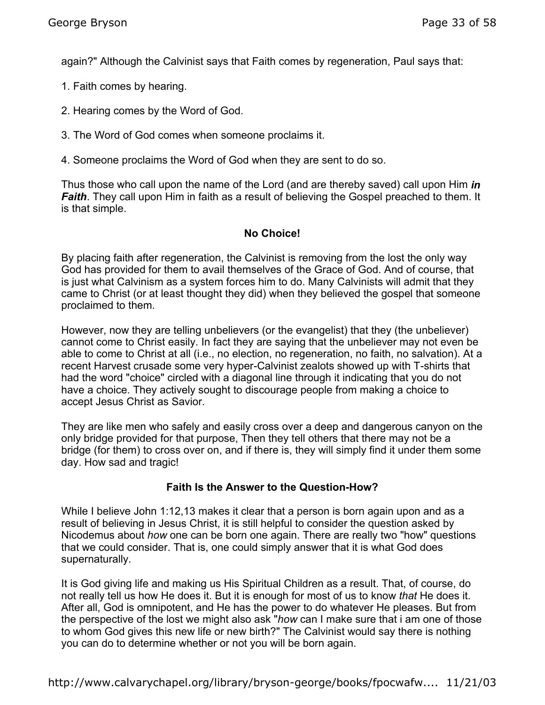again?" Although the Calvinist says that Faith comes by regeneration, Paul says that:

- 1. Faith comes by hearing.
- 2. Hearing comes by the Word of God.
- 3. The Word of God comes when someone proclaims it.
- 4. Someone proclaims the Word of God when they are sent to do so.

Thus those who call upon the name of the Lord (and are thereby saved) call upon Him *in*  **Faith**. They call upon Him in faith as a result of believing the Gospel preached to them. It is that simple.

#### **No Choice!**

By placing faith after regeneration, the Calvinist is removing from the lost the only way God has provided for them to avail themselves of the Grace of God. And of course, that is just what Calvinism as a system forces him to do. Many Calvinists will admit that they came to Christ (or at least thought they did) when they believed the gospel that someone proclaimed to them.

However, now they are telling unbelievers (or the evangelist) that they (the unbeliever) cannot come to Christ easily. In fact they are saying that the unbeliever may not even be able to come to Christ at all (i.e., no election, no regeneration, no faith, no salvation). At a recent Harvest crusade some very hyper-Calvinist zealots showed up with T-shirts that had the word "choice" circled with a diagonal line through it indicating that you do not have a choice. They actively sought to discourage people from making a choice to accept Jesus Christ as Savior.

They are like men who safely and easily cross over a deep and dangerous canyon on the only bridge provided for that purpose, Then they tell others that there may not be a bridge (for them) to cross over on, and if there is, they will simply find it under them some day. How sad and tragic!

#### **Faith Is the Answer to the Question-How?**

While I believe John 1:12,13 makes it clear that a person is born again upon and as a result of believing in Jesus Christ, it is still helpful to consider the question asked by Nicodemus about *how* one can be born one again. There are really two "how" questions that we could consider. That is, one could simply answer that it is what God does supernaturally.

It is God giving life and making us His Spiritual Children as a result. That, of course, do not really tell us how He does it. But it is enough for most of us to know *that* He does it. After all, God is omnipotent, and He has the power to do whatever He pleases. But from the perspective of the lost we might also ask "*how* can I make sure that i am one of those to whom God gives this new life or new birth?" The Calvinist would say there is nothing you can do to determine whether or not you will be born again.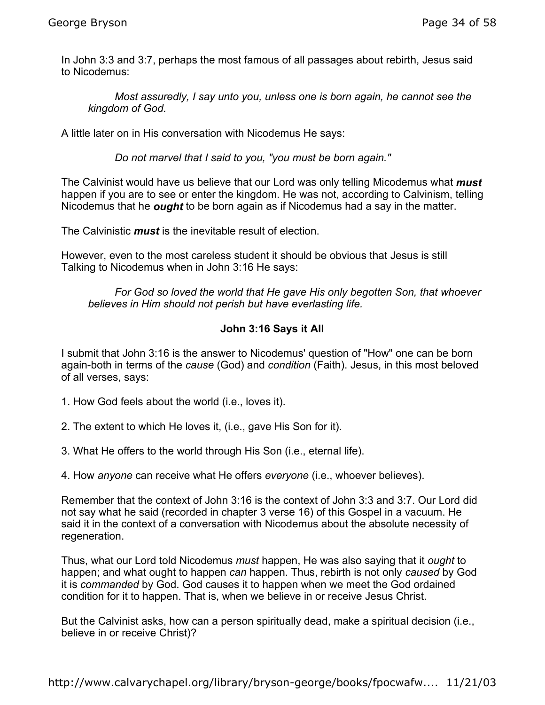In John 3:3 and 3:7, perhaps the most famous of all passages about rebirth, Jesus said to Nicodemus:

*Most assuredly, I say unto you, unless one is born again, he cannot see the kingdom of God.*

A little later on in His conversation with Nicodemus He says:

*Do not marvel that I said to you, "you must be born again."*

The Calvinist would have us believe that our Lord was only telling Micodemus what *must* happen if you are to see or enter the kingdom. He was not, according to Calvinism, telling Nicodemus that he *ought* to be born again as if Nicodemus had a say in the matter.

The Calvinistic *must* is the inevitable result of election.

However, even to the most careless student it should be obvious that Jesus is still Talking to Nicodemus when in John 3:16 He says:

*For God so loved the world that He gave His only begotten Son, that whoever believes in Him should not perish but have everlasting life.*

#### **John 3:16 Says it All**

I submit that John 3:16 is the answer to Nicodemus' question of "How" one can be born again-both in terms of the *cause* (God) and *condition* (Faith). Jesus, in this most beloved of all verses, says:

- 1. How God feels about the world (i.e., loves it).
- 2. The extent to which He loves it, (i.e., gave His Son for it).
- 3. What He offers to the world through His Son (i.e., eternal life).

4. How *anyone* can receive what He offers *everyone* (i.e., whoever believes).

Remember that the context of John 3:16 is the context of John 3:3 and 3:7. Our Lord did not say what he said (recorded in chapter 3 verse 16) of this Gospel in a vacuum. He said it in the context of a conversation with Nicodemus about the absolute necessity of regeneration.

Thus, what our Lord told Nicodemus *must* happen, He was also saying that it *ought* to happen; and what ought to happen *can* happen. Thus, rebirth is not only *caused* by God it is *commanded* by God. God causes it to happen when we meet the God ordained condition for it to happen. That is, when we believe in or receive Jesus Christ.

But the Calvinist asks, how can a person spiritually dead, make a spiritual decision (i.e., believe in or receive Christ)?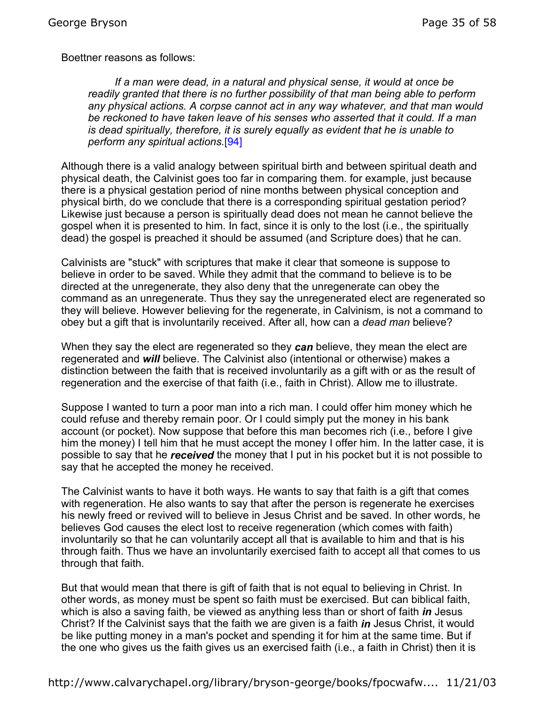Boettner reasons as follows:

*If a man were dead, in a natural and physical sense, it would at once be readily granted that there is no further possibility of that man being able to perform any physical actions. A corpse cannot act in any way whatever, and that man would be reckoned to have taken leave of his senses who asserted that it could. If a man is dead spiritually, therefore, it is surely equally as evident that he is unable to perform any spiritual actions.*[94]

Although there is a valid analogy between spiritual birth and between spiritual death and physical death, the Calvinist goes too far in comparing them. for example, just because there is a physical gestation period of nine months between physical conception and physical birth, do we conclude that there is a corresponding spiritual gestation period? Likewise just because a person is spiritually dead does not mean he cannot believe the gospel when it is presented to him. In fact, since it is only to the lost (i.e., the spiritually dead) the gospel is preached it should be assumed (and Scripture does) that he can.

Calvinists are "stuck" with scriptures that make it clear that someone is suppose to believe in order to be saved. While they admit that the command to believe is to be directed at the unregenerate, they also deny that the unregenerate can obey the command as an unregenerate. Thus they say the unregenerated elect are regenerated so they will believe. However believing for the regenerate, in Calvinism, is not a command to obey but a gift that is involuntarily received. After all, how can a *dead man* believe?

When they say the elect are regenerated so they *can* believe, they mean the elect are regenerated and *will* believe. The Calvinist also (intentional or otherwise) makes a distinction between the faith that is received involuntarily as a gift with or as the result of regeneration and the exercise of that faith (i.e., faith in Christ). Allow me to illustrate.

Suppose I wanted to turn a poor man into a rich man. I could offer him money which he could refuse and thereby remain poor. Or I could simply put the money in his bank account (or pocket). Now suppose that before this man becomes rich (i.e., before I give him the money) I tell him that he must accept the money I offer him. In the latter case, it is possible to say that he *received* the money that I put in his pocket but it is not possible to say that he accepted the money he received.

The Calvinist wants to have it both ways. He wants to say that faith is a gift that comes with regeneration. He also wants to say that after the person is regenerate he exercises his newly freed or revived will to believe in Jesus Christ and be saved. In other words, he believes God causes the elect lost to receive regeneration (which comes with faith) involuntarily so that he can voluntarily accept all that is available to him and that is his through faith. Thus we have an involuntarily exercised faith to accept all that comes to us through that faith.

But that would mean that there is gift of faith that is not equal to believing in Christ. In other words, as money must be spent so faith must be exercised. But can biblical faith, which is also a saving faith, be viewed as anything less than or short of faith *in* Jesus Christ? If the Calvinist says that the faith we are given is a faith *in* Jesus Christ, it would be like putting money in a man's pocket and spending it for him at the same time. But if the one who gives us the faith gives us an exercised faith (i.e., a faith in Christ) then it is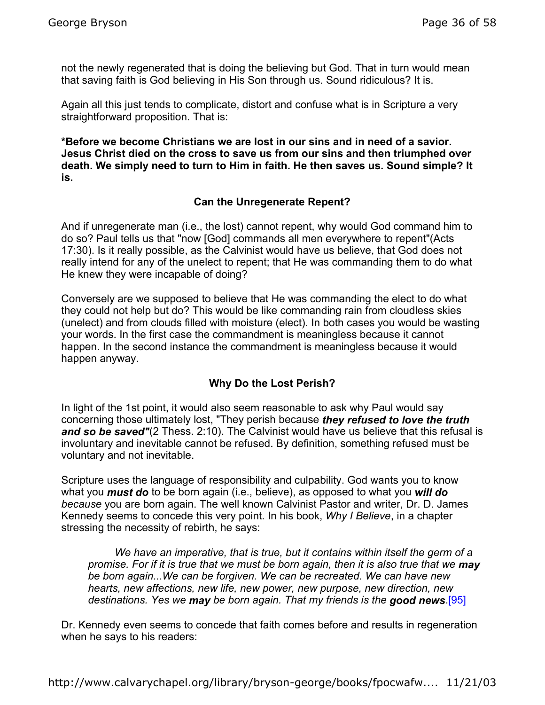not the newly regenerated that is doing the believing but God. That in turn would mean that saving faith is God believing in His Son through us. Sound ridiculous? It is.

Again all this just tends to complicate, distort and confuse what is in Scripture a very straightforward proposition. That is:

**\*Before we become Christians we are lost in our sins and in need of a savior. Jesus Christ died on the cross to save us from our sins and then triumphed over death. We simply need to turn to Him in faith. He then saves us. Sound simple? It is.**

## **Can the Unregenerate Repent?**

And if unregenerate man (i.e., the lost) cannot repent, why would God command him to do so? Paul tells us that "now [God] commands all men everywhere to repent"(Acts 17:30). Is it really possible, as the Calvinist would have us believe, that God does not really intend for any of the unelect to repent; that He was commanding them to do what He knew they were incapable of doing?

Conversely are we supposed to believe that He was commanding the elect to do what they could not help but do? This would be like commanding rain from cloudless skies (unelect) and from clouds filled with moisture (elect). In both cases you would be wasting your words. In the first case the commandment is meaningless because it cannot happen. In the second instance the commandment is meaningless because it would happen anyway.

#### **Why Do the Lost Perish?**

In light of the 1st point, it would also seem reasonable to ask why Paul would say concerning those ultimately lost, "They perish because *they refused to love the truth*  and so be saved"(2 Thess. 2:10). The Calvinist would have us believe that this refusal is involuntary and inevitable cannot be refused. By definition, something refused must be voluntary and not inevitable.

Scripture uses the language of responsibility and culpability. God wants you to know what you *must do* to be born again (i.e., believe), as opposed to what you *will do because* you are born again. The well known Calvinist Pastor and writer, Dr. D. James Kennedy seems to concede this very point. In his book, *Why I Believe*, in a chapter stressing the necessity of rebirth, he says:

*We have an imperative, that is true, but it contains within itself the germ of a promise. For if it is true that we must be born again, then it is also true that we may be born again...We can be forgiven. We can be recreated. We can have new hearts, new affections, new life, new power, new purpose, new direction, new destinations. Yes we may be born again. That my friends is the good news*.[95]

Dr. Kennedy even seems to concede that faith comes before and results in regeneration when he says to his readers: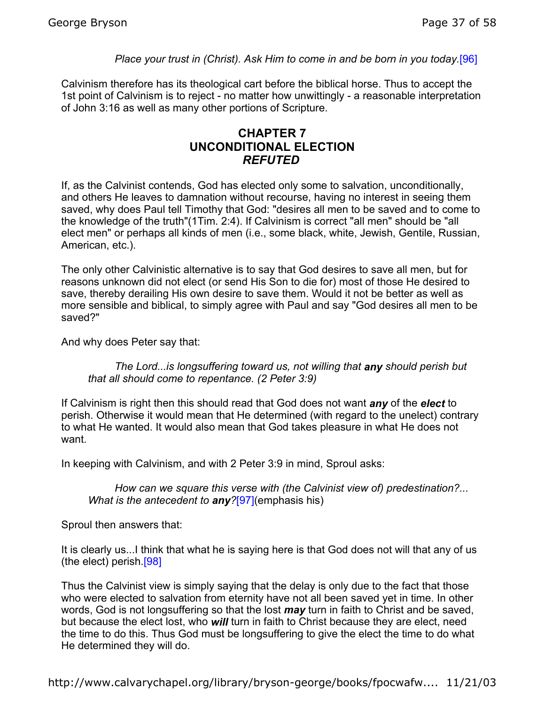*Place your trust in (Christ). Ask Him to come in and be born in you today.*[96]

Calvinism therefore has its theological cart before the biblical horse. Thus to accept the 1st point of Calvinism is to reject - no matter how unwittingly - a reasonable interpretation of John 3:16 as well as many other portions of Scripture.

# **CHAPTER 7 UNCONDITIONAL ELECTION**  *REFUTED*

If, as the Calvinist contends, God has elected only some to salvation, unconditionally, and others He leaves to damnation without recourse, having no interest in seeing them saved, why does Paul tell Timothy that God: "desires all men to be saved and to come to the knowledge of the truth"(1Tim. 2:4). If Calvinism is correct "all men" should be "all elect men" or perhaps all kinds of men (i.e., some black, white, Jewish, Gentile, Russian, American, etc.).

The only other Calvinistic alternative is to say that God desires to save all men, but for reasons unknown did not elect (or send His Son to die for) most of those He desired to save, thereby derailing His own desire to save them. Would it not be better as well as more sensible and biblical, to simply agree with Paul and say "God desires all men to be saved?"

And why does Peter say that:

*The Lord...is longsuffering toward us, not willing that any should perish but that all should come to repentance. (2 Peter 3:9)*

If Calvinism is right then this should read that God does not want *any* of the *elect* to perish. Otherwise it would mean that He determined (with regard to the unelect) contrary to what He wanted. It would also mean that God takes pleasure in what He does not want.

In keeping with Calvinism, and with 2 Peter 3:9 in mind, Sproul asks:

*How can we square this verse with (the Calvinist view of) predestination?... What is the antecedent to any?*[97](emphasis his)

Sproul then answers that:

It is clearly us...I think that what he is saying here is that God does not will that any of us (the elect) perish.[98]

Thus the Calvinist view is simply saying that the delay is only due to the fact that those who were elected to salvation from eternity have not all been saved yet in time. In other words, God is not longsuffering so that the lost *may* turn in faith to Christ and be saved, but because the elect lost, who *will* turn in faith to Christ because they are elect, need the time to do this. Thus God must be longsuffering to give the elect the time to do what He determined they will do.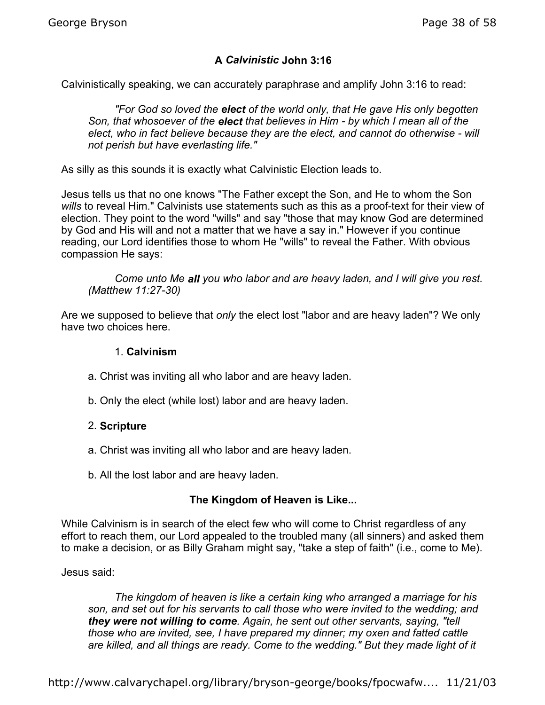# **A** *Calvinistic* **John 3:16**

Calvinistically speaking, we can accurately paraphrase and amplify John 3:16 to read:

*"For God so loved the elect of the world only, that He gave His only begotten Son, that whosoever of the elect that believes in Him - by which I mean all of the elect, who in fact believe because they are the elect, and cannot do otherwise - will not perish but have everlasting life."*

As silly as this sounds it is exactly what Calvinistic Election leads to.

Jesus tells us that no one knows "The Father except the Son, and He to whom the Son *wills* to reveal Him." Calvinists use statements such as this as a proof-text for their view of election. They point to the word "wills" and say "those that may know God are determined by God and His will and not a matter that we have a say in." However if you continue reading, our Lord identifies those to whom He "wills" to reveal the Father. With obvious compassion He says:

*Come unto Me all you who labor and are heavy laden, and I will give you rest. (Matthew 11:27-30)*

Are we supposed to believe that *only* the elect lost "labor and are heavy laden"? We only have two choices here.

#### 1. **Calvinism**

- a. Christ was inviting all who labor and are heavy laden.
- b. Only the elect (while lost) labor and are heavy laden.

#### 2. **Scripture**

- a. Christ was inviting all who labor and are heavy laden.
- b. All the lost labor and are heavy laden.

#### **The Kingdom of Heaven is Like...**

While Calvinism is in search of the elect few who will come to Christ regardless of any effort to reach them, our Lord appealed to the troubled many (all sinners) and asked them to make a decision, or as Billy Graham might say, "take a step of faith" (i.e., come to Me).

#### Jesus said:

*The kingdom of heaven is like a certain king who arranged a marriage for his son, and set out for his servants to call those who were invited to the wedding; and they were not willing to come. Again, he sent out other servants, saying, "tell those who are invited, see, I have prepared my dinner; my oxen and fatted cattle are killed, and all things are ready. Come to the wedding." But they made light of it*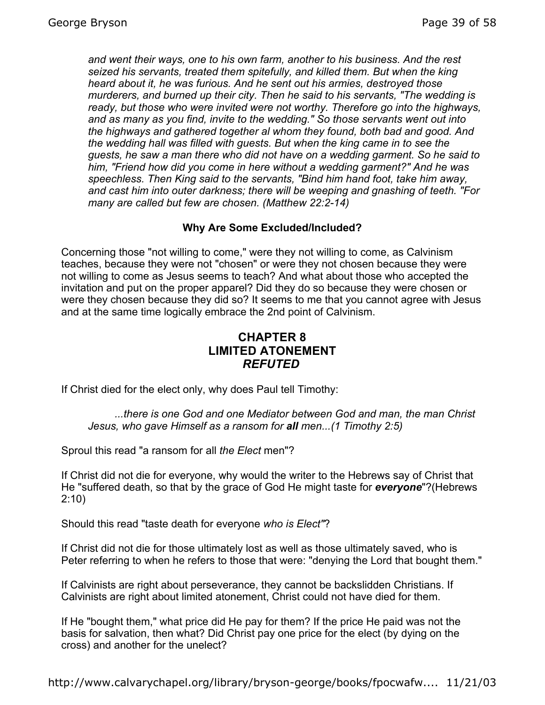*and went their ways, one to his own farm, another to his business. And the rest seized his servants, treated them spitefully, and killed them. But when the king heard about it, he was furious. And he sent out his armies, destroyed those murderers, and burned up their city. Then he said to his servants, "The wedding is ready, but those who were invited were not worthy. Therefore go into the highways, and as many as you find, invite to the wedding." So those servants went out into the highways and gathered together al whom they found, both bad and good. And the wedding hall was filled with guests. But when the king came in to see the guests, he saw a man there who did not have on a wedding garment. So he said to him, "Friend how did you come in here without a wedding garment?" And he was speechless. Then King said to the servants, "Bind him hand foot, take him away, and cast him into outer darkness; there will be weeping and gnashing of teeth. "For many are called but few are chosen. (Matthew 22:2-14)*

#### **Why Are Some Excluded/Included?**

Concerning those "not willing to come," were they not willing to come, as Calvinism teaches, because they were not "chosen" or were they not chosen because they were not willing to come as Jesus seems to teach? And what about those who accepted the invitation and put on the proper apparel? Did they do so because they were chosen or were they chosen because they did so? It seems to me that you cannot agree with Jesus and at the same time logically embrace the 2nd point of Calvinism.

## **CHAPTER 8 LIMITED ATONEMENT**  *REFUTED*

If Christ died for the elect only, why does Paul tell Timothy:

*...there is one God and one Mediator between God and man, the man Christ Jesus, who gave Himself as a ransom for all men...(1 Timothy 2:5)*

Sproul this read "a ransom for all *the Elect* men"?

If Christ did not die for everyone, why would the writer to the Hebrews say of Christ that He "suffered death, so that by the grace of God He might taste for *everyone*"?(Hebrews 2:10)

Should this read "taste death for everyone *who is Elect"*?

If Christ did not die for those ultimately lost as well as those ultimately saved, who is Peter referring to when he refers to those that were: "denying the Lord that bought them."

If Calvinists are right about perseverance, they cannot be backslidden Christians. If Calvinists are right about limited atonement, Christ could not have died for them.

If He "bought them," what price did He pay for them? If the price He paid was not the basis for salvation, then what? Did Christ pay one price for the elect (by dying on the cross) and another for the unelect?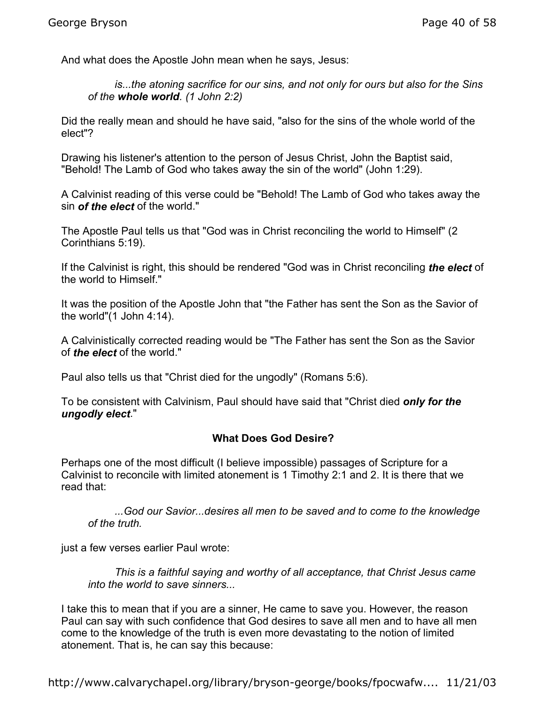And what does the Apostle John mean when he says, Jesus:

*is...the atoning sacrifice for our sins, and not only for ours but also for the Sins of the whole world. (1 John 2:2)*

Did the really mean and should he have said, "also for the sins of the whole world of the elect"?

Drawing his listener's attention to the person of Jesus Christ, John the Baptist said, "Behold! The Lamb of God who takes away the sin of the world" (John 1:29).

A Calvinist reading of this verse could be "Behold! The Lamb of God who takes away the sin *of the elect* of the world."

The Apostle Paul tells us that "God was in Christ reconciling the world to Himself" (2 Corinthians 5:19).

If the Calvinist is right, this should be rendered "God was in Christ reconciling *the elect* of the world to Himself."

It was the position of the Apostle John that "the Father has sent the Son as the Savior of the world"(1 John 4:14).

A Calvinistically corrected reading would be "The Father has sent the Son as the Savior of *the elect* of the world."

Paul also tells us that "Christ died for the ungodly" (Romans 5:6).

To be consistent with Calvinism, Paul should have said that "Christ died *only for the ungodly elect*."

#### **What Does God Desire?**

Perhaps one of the most difficult (I believe impossible) passages of Scripture for a Calvinist to reconcile with limited atonement is 1 Timothy 2:1 and 2. It is there that we read that:

*...God our Savior...desires all men to be saved and to come to the knowledge of the truth.*

just a few verses earlier Paul wrote:

*This is a faithful saying and worthy of all acceptance, that Christ Jesus came into the world to save sinners...*

I take this to mean that if you are a sinner, He came to save you. However, the reason Paul can say with such confidence that God desires to save all men and to have all men come to the knowledge of the truth is even more devastating to the notion of limited atonement. That is, he can say this because: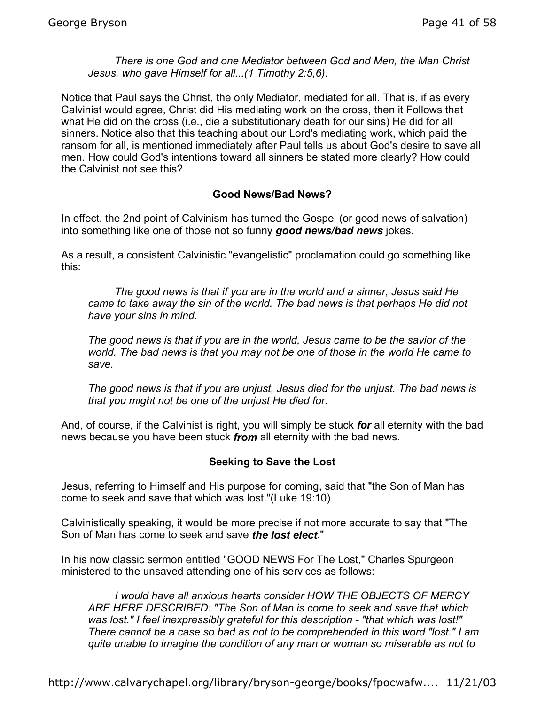*There is one God and one Mediator between God and Men, the Man Christ Jesus, who gave Himself for all...(1 Timothy 2:5,6).*

Notice that Paul says the Christ, the only Mediator, mediated for all. That is, if as every Calvinist would agree, Christ did His mediating work on the cross, then it Follows that what He did on the cross (i.e., die a substitutionary death for our sins) He did for all sinners. Notice also that this teaching about our Lord's mediating work, which paid the ransom for all, is mentioned immediately after Paul tells us about God's desire to save all men. How could God's intentions toward all sinners be stated more clearly? How could the Calvinist not see this?

#### **Good News/Bad News?**

In effect, the 2nd point of Calvinism has turned the Gospel (or good news of salvation) into something like one of those not so funny *good news/bad news* jokes.

As a result, a consistent Calvinistic "evangelistic" proclamation could go something like this:

*The good news is that if you are in the world and a sinner, Jesus said He came to take away the sin of the world. The bad news is that perhaps He did not have your sins in mind.* 

*The good news is that if you are in the world, Jesus came to be the savior of the world. The bad news is that you may not be one of those in the world He came to save.* 

*The good news is that if you are unjust, Jesus died for the unjust. The bad news is that you might not be one of the unjust He died for.*

And, of course, if the Calvinist is right, you will simply be stuck *for* all eternity with the bad news because you have been stuck *from* all eternity with the bad news.

#### **Seeking to Save the Lost**

Jesus, referring to Himself and His purpose for coming, said that "the Son of Man has come to seek and save that which was lost."(Luke 19:10)

Calvinistically speaking, it would be more precise if not more accurate to say that "The Son of Man has come to seek and save *the lost elect*."

In his now classic sermon entitled "GOOD NEWS For The Lost," Charles Spurgeon ministered to the unsaved attending one of his services as follows:

*I would have all anxious hearts consider HOW THE OBJECTS OF MERCY ARE HERE DESCRIBED: "The Son of Man is come to seek and save that which was lost." I feel inexpressibly grateful for this description - "that which was lost!" There cannot be a case so bad as not to be comprehended in this word "lost." I am quite unable to imagine the condition of any man or woman so miserable as not to*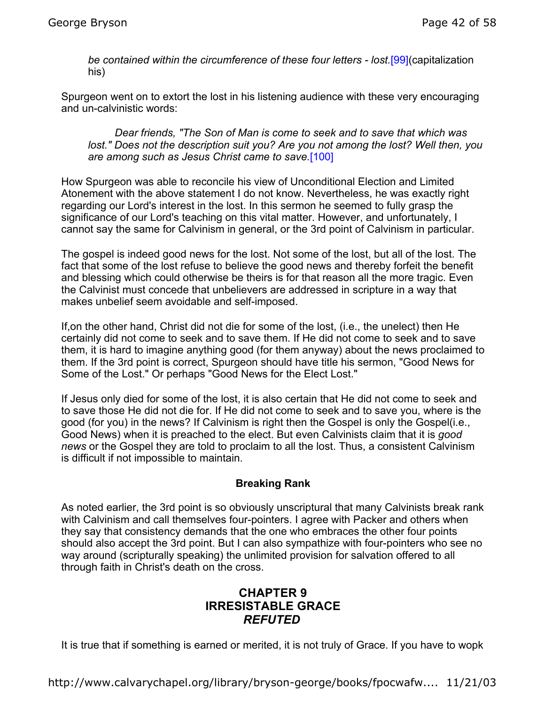*be contained within the circumference of these four letters - lost.*[99](capitalization his)

Spurgeon went on to extort the lost in his listening audience with these very encouraging and un-calvinistic words:

*Dear friends, "The Son of Man is come to seek and to save that which was lost." Does not the description suit you? Are you not among the lost? Well then, you are among such as Jesus Christ came to save.*[100]

How Spurgeon was able to reconcile his view of Unconditional Election and Limited Atonement with the above statement I do not know. Nevertheless, he was exactly right regarding our Lord's interest in the lost. In this sermon he seemed to fully grasp the significance of our Lord's teaching on this vital matter. However, and unfortunately, I cannot say the same for Calvinism in general, or the 3rd point of Calvinism in particular.

The gospel is indeed good news for the lost. Not some of the lost, but all of the lost. The fact that some of the lost refuse to believe the good news and thereby forfeit the benefit and blessing which could otherwise be theirs is for that reason all the more tragic. Even the Calvinist must concede that unbelievers are addressed in scripture in a way that makes unbelief seem avoidable and self-imposed.

If,on the other hand, Christ did not die for some of the lost, (i.e., the unelect) then He certainly did not come to seek and to save them. If He did not come to seek and to save them, it is hard to imagine anything good (for them anyway) about the news proclaimed to them. If the 3rd point is correct, Spurgeon should have title his sermon, "Good News for Some of the Lost." Or perhaps "Good News for the Elect Lost."

If Jesus only died for some of the lost, it is also certain that He did not come to seek and to save those He did not die for. If He did not come to seek and to save you, where is the good (for you) in the news? If Calvinism is right then the Gospel is only the Gospel(i.e., Good News) when it is preached to the elect. But even Calvinists claim that it is *good news* or the Gospel they are told to proclaim to all the lost. Thus, a consistent Calvinism is difficult if not impossible to maintain.

#### **Breaking Rank**

As noted earlier, the 3rd point is so obviously unscriptural that many Calvinists break rank with Calvinism and call themselves four-pointers. I agree with Packer and others when they say that consistency demands that the one who embraces the other four points should also accept the 3rd point. But I can also sympathize with four-pointers who see no way around (scripturally speaking) the unlimited provision for salvation offered to all through faith in Christ's death on the cross.

# **CHAPTER 9 IRRESISTABLE GRACE**  *REFUTED*

It is true that if something is earned or merited, it is not truly of Grace. If you have to wopk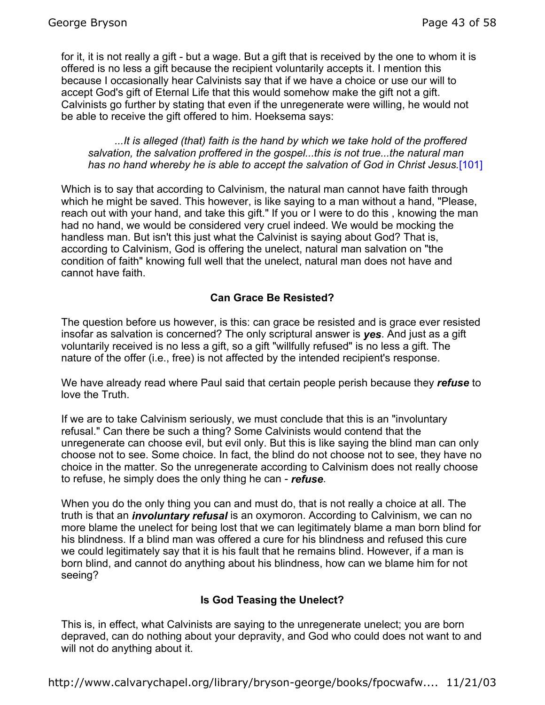for it, it is not really a gift - but a wage. But a gift that is received by the one to whom it is offered is no less a gift because the recipient voluntarily accepts it. I mention this because I occasionally hear Calvinists say that if we have a choice or use our will to accept God's gift of Eternal Life that this would somehow make the gift not a gift. Calvinists go further by stating that even if the unregenerate were willing, he would not be able to receive the gift offered to him. Hoeksema says:

*...It is alleged (that) faith is the hand by which we take hold of the proffered salvation, the salvation proffered in the gospel...this is not true...the natural man has no hand whereby he is able to accept the salvation of God in Christ Jesus.*[101]

Which is to say that according to Calvinism, the natural man cannot have faith through which he might be saved. This however, is like saying to a man without a hand, "Please, reach out with your hand, and take this gift." If you or I were to do this , knowing the man had no hand, we would be considered very cruel indeed. We would be mocking the handless man. But isn't this just what the Calvinist is saying about God? That is, according to Calvinism, God is offering the unelect, natural man salvation on "the condition of faith" knowing full well that the unelect, natural man does not have and cannot have faith.

#### **Can Grace Be Resisted?**

The question before us however, is this: can grace be resisted and is grace ever resisted insofar as salvation is concerned? The only scriptural answer is *yes*. And just as a gift voluntarily received is no less a gift, so a gift "willfully refused" is no less a gift. The nature of the offer (i.e., free) is not affected by the intended recipient's response.

We have already read where Paul said that certain people perish because they *refuse* to love the Truth.

If we are to take Calvinism seriously, we must conclude that this is an "involuntary refusal." Can there be such a thing? Some Calvinists would contend that the unregenerate can choose evil, but evil only. But this is like saying the blind man can only choose not to see. Some choice. In fact, the blind do not choose not to see, they have no choice in the matter. So the unregenerate according to Calvinism does not really choose to refuse, he simply does the only thing he can - *refuse*.

When you do the only thing you can and must do, that is not really a choice at all. The truth is that an *involuntary refusal* is an oxymoron. According to Calvinism, we can no more blame the unelect for being lost that we can legitimately blame a man born blind for his blindness. If a blind man was offered a cure for his blindness and refused this cure we could legitimately say that it is his fault that he remains blind. However, if a man is born blind, and cannot do anything about his blindness, how can we blame him for not seeing?

## **Is God Teasing the Unelect?**

This is, in effect, what Calvinists are saying to the unregenerate unelect; you are born depraved, can do nothing about your depravity, and God who could does not want to and will not do anything about it.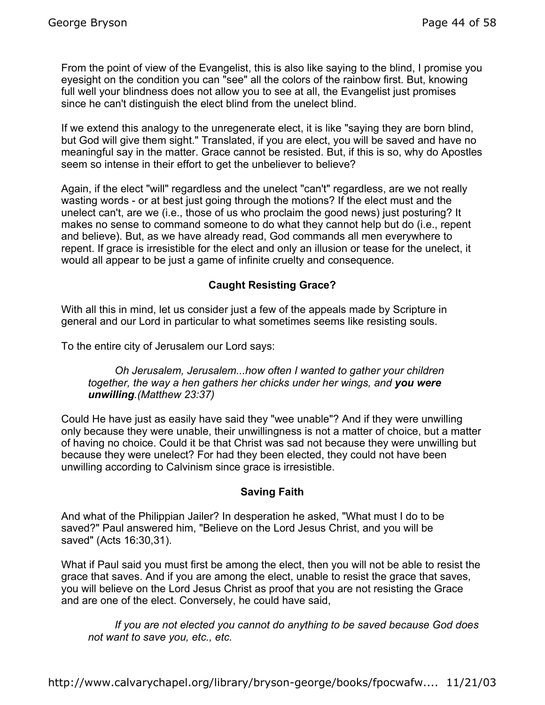From the point of view of the Evangelist, this is also like saying to the blind, I promise you eyesight on the condition you can "see" all the colors of the rainbow first. But, knowing full well your blindness does not allow you to see at all, the Evangelist just promises since he can't distinguish the elect blind from the unelect blind.

If we extend this analogy to the unregenerate elect, it is like "saying they are born blind, but God will give them sight." Translated, if you are elect, you will be saved and have no meaningful say in the matter. Grace cannot be resisted. But, if this is so, why do Apostles seem so intense in their effort to get the unbeliever to believe?

Again, if the elect "will" regardless and the unelect "can't" regardless, are we not really wasting words - or at best just going through the motions? If the elect must and the unelect can't, are we (i.e., those of us who proclaim the good news) just posturing? It makes no sense to command someone to do what they cannot help but do (i.e., repent and believe). But, as we have already read, God commands all men everywhere to repent. If grace is irresistible for the elect and only an illusion or tease for the unelect, it would all appear to be just a game of infinite cruelty and consequence.

## **Caught Resisting Grace?**

With all this in mind, let us consider just a few of the appeals made by Scripture in general and our Lord in particular to what sometimes seems like resisting souls.

To the entire city of Jerusalem our Lord says:

*Oh Jerusalem, Jerusalem...how often I wanted to gather your children together, the way a hen gathers her chicks under her wings, and you were unwilling.(Matthew 23:37)*

Could He have just as easily have said they "wee unable"? And if they were unwilling only because they were unable, their unwillingness is not a matter of choice, but a matter of having no choice. Could it be that Christ was sad not because they were unwilling but because they were unelect? For had they been elected, they could not have been unwilling according to Calvinism since grace is irresistible.

#### **Saving Faith**

And what of the Philippian Jailer? In desperation he asked, "What must I do to be saved?" Paul answered him, "Believe on the Lord Jesus Christ, and you will be saved" (Acts 16:30,31).

What if Paul said you must first be among the elect, then you will not be able to resist the grace that saves. And if you are among the elect, unable to resist the grace that saves, you will believe on the Lord Jesus Christ as proof that you are not resisting the Grace and are one of the elect. Conversely, he could have said,

*If you are not elected you cannot do anything to be saved because God does not want to save you, etc., etc.*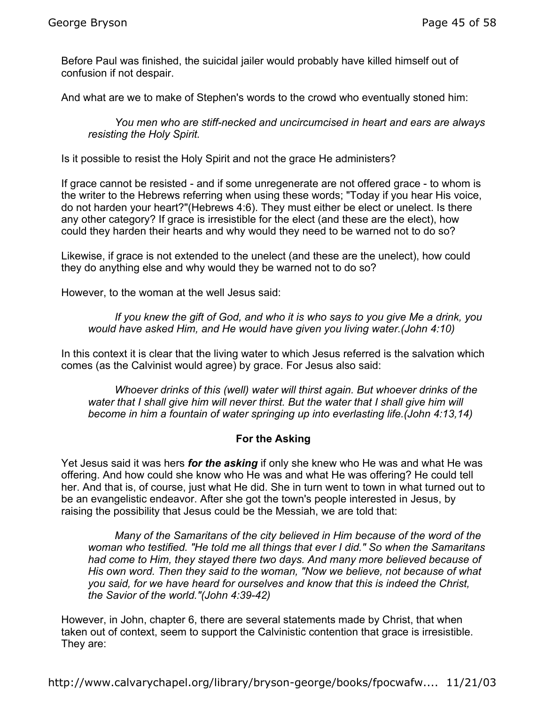Before Paul was finished, the suicidal jailer would probably have killed himself out of confusion if not despair.

And what are we to make of Stephen's words to the crowd who eventually stoned him:

*You men who are stiff-necked and uncircumcised in heart and ears are always resisting the Holy Spirit.*

Is it possible to resist the Holy Spirit and not the grace He administers?

If grace cannot be resisted - and if some unregenerate are not offered grace - to whom is the writer to the Hebrews referring when using these words; "Today if you hear His voice, do not harden your heart?"(Hebrews 4:6). They must either be elect or unelect. Is there any other category? If grace is irresistible for the elect (and these are the elect), how could they harden their hearts and why would they need to be warned not to do so?

Likewise, if grace is not extended to the unelect (and these are the unelect), how could they do anything else and why would they be warned not to do so?

However, to the woman at the well Jesus said:

*If you knew the gift of God, and who it is who says to you give Me a drink, you would have asked Him, and He would have given you living water.(John 4:10)*

In this context it is clear that the living water to which Jesus referred is the salvation which comes (as the Calvinist would agree) by grace. For Jesus also said:

*Whoever drinks of this (well) water will thirst again. But whoever drinks of the water that I shall give him will never thirst. But the water that I shall give him will become in him a fountain of water springing up into everlasting life.(John 4:13,14)*

#### **For the Asking**

Yet Jesus said it was hers *for the asking* if only she knew who He was and what He was offering. And how could she know who He was and what He was offering? He could tell her. And that is, of course, just what He did. She in turn went to town in what turned out to be an evangelistic endeavor. After she got the town's people interested in Jesus, by raising the possibility that Jesus could be the Messiah, we are told that:

*Many of the Samaritans of the city believed in Him because of the word of the woman who testified. "He told me all things that ever I did." So when the Samaritans had come to Him, they stayed there two days. And many more believed because of His own word. Then they said to the woman, "Now we believe, not because of what you said, for we have heard for ourselves and know that this is indeed the Christ, the Savior of the world."(John 4:39-42)* 

However, in John, chapter 6, there are several statements made by Christ, that when taken out of context, seem to support the Calvinistic contention that grace is irresistible. They are: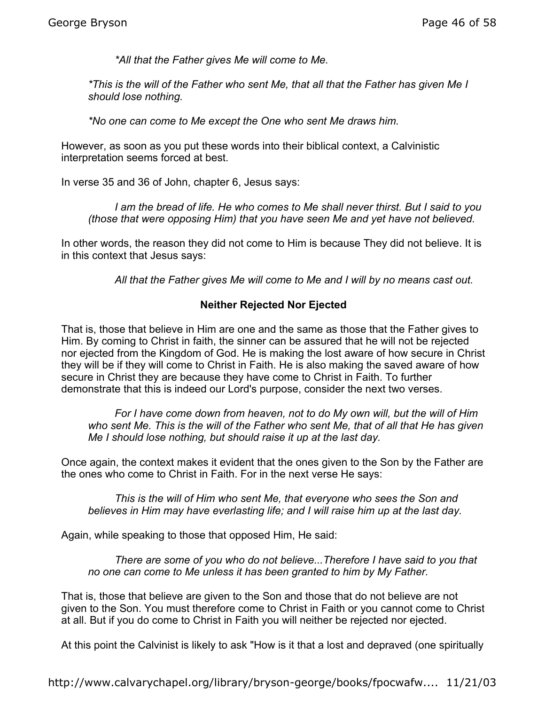*\*All that the Father gives Me will come to Me.* 

*\*This is the will of the Father who sent Me, that all that the Father has given Me I should lose nothing.* 

*\*No one can come to Me except the One who sent Me draws him.*

However, as soon as you put these words into their biblical context, a Calvinistic interpretation seems forced at best.

In verse 35 and 36 of John, chapter 6, Jesus says:

*I am the bread of life. He who comes to Me shall never thirst. But I said to you (those that were opposing Him) that you have seen Me and yet have not believed.*

In other words, the reason they did not come to Him is because They did not believe. It is in this context that Jesus says:

*All that the Father gives Me will come to Me and I will by no means cast out.*

#### **Neither Rejected Nor Ejected**

That is, those that believe in Him are one and the same as those that the Father gives to Him. By coming to Christ in faith, the sinner can be assured that he will not be rejected nor ejected from the Kingdom of God. He is making the lost aware of how secure in Christ they will be if they will come to Christ in Faith. He is also making the saved aware of how secure in Christ they are because they have come to Christ in Faith. To further demonstrate that this is indeed our Lord's purpose, consider the next two verses.

*For I have come down from heaven, not to do My own will, but the will of Him who sent Me. This is the will of the Father who sent Me, that of all that He has given Me I should lose nothing, but should raise it up at the last day.*

Once again, the context makes it evident that the ones given to the Son by the Father are the ones who come to Christ in Faith. For in the next verse He says:

*This is the will of Him who sent Me, that everyone who sees the Son and believes in Him may have everlasting life; and I will raise him up at the last day.*

Again, while speaking to those that opposed Him, He said:

*There are some of you who do not believe...Therefore I have said to you that no one can come to Me unless it has been granted to him by My Father.*

That is, those that believe are given to the Son and those that do not believe are not given to the Son. You must therefore come to Christ in Faith or you cannot come to Christ at all. But if you do come to Christ in Faith you will neither be rejected nor ejected.

At this point the Calvinist is likely to ask "How is it that a lost and depraved (one spiritually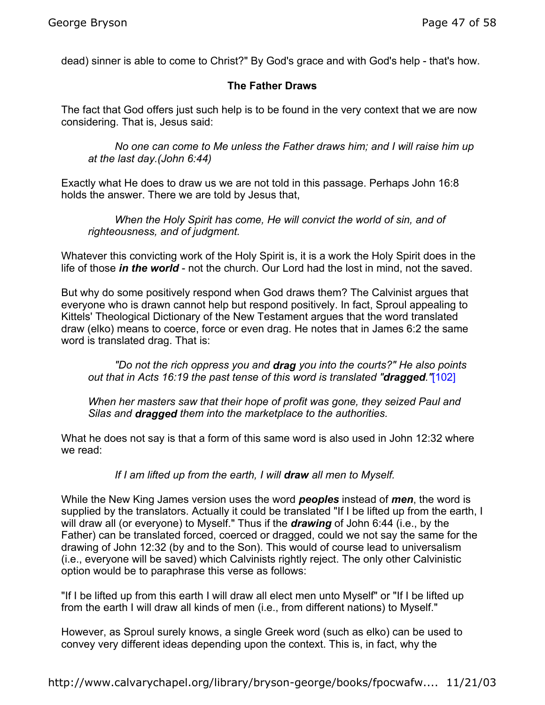dead) sinner is able to come to Christ?" By God's grace and with God's help - that's how.

## **The Father Draws**

The fact that God offers just such help is to be found in the very context that we are now considering. That is, Jesus said:

*No one can come to Me unless the Father draws him; and I will raise him up at the last day.(John 6:44)*

Exactly what He does to draw us we are not told in this passage. Perhaps John 16:8 holds the answer. There we are told by Jesus that,

When the Holy Spirit has come, He will convict the world of sin, and of *righteousness, and of judgment.*

Whatever this convicting work of the Holy Spirit is, it is a work the Holy Spirit does in the life of those *in the world* - not the church. Our Lord had the lost in mind, not the saved.

But why do some positively respond when God draws them? The Calvinist argues that everyone who is drawn cannot help but respond positively. In fact, Sproul appealing to Kittels' Theological Dictionary of the New Testament argues that the word translated draw (elko) means to coerce, force or even drag. He notes that in James 6:2 the same word is translated drag. That is:

*"Do not the rich oppress you and drag you into the courts?" He also points out that in Acts 16:19 the past tense of this word is translated "dragged."*[102]

*When her masters saw that their hope of profit was gone, they seized Paul and Silas and dragged them into the marketplace to the authorities.*

What he does not say is that a form of this same word is also used in John 12:32 where we read:

*If I am lifted up from the earth, I will draw all men to Myself.*

While the New King James version uses the word *peoples* instead of *men*, the word is supplied by the translators. Actually it could be translated "If I be lifted up from the earth, I will draw all (or everyone) to Myself." Thus if the *drawing* of John 6:44 (i.e., by the Father) can be translated forced, coerced or dragged, could we not say the same for the drawing of John 12:32 (by and to the Son). This would of course lead to universalism (i.e., everyone will be saved) which Calvinists rightly reject. The only other Calvinistic option would be to paraphrase this verse as follows:

"If I be lifted up from this earth I will draw all elect men unto Myself" or "If I be lifted up from the earth I will draw all kinds of men (i.e., from different nations) to Myself."

However, as Sproul surely knows, a single Greek word (such as elko) can be used to convey very different ideas depending upon the context. This is, in fact, why the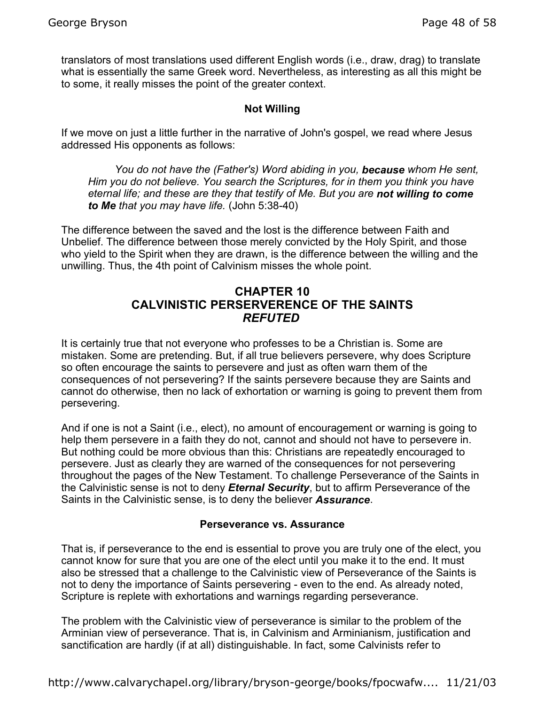translators of most translations used different English words (i.e., draw, drag) to translate what is essentially the same Greek word. Nevertheless, as interesting as all this might be to some, it really misses the point of the greater context.

## **Not Willing**

If we move on just a little further in the narrative of John's gospel, we read where Jesus addressed His opponents as follows:

*You do not have the (Father's) Word abiding in you, because whom He sent, Him you do not believe. You search the Scriptures, for in them you think you have eternal life; and these are they that testify of Me. But you are not willing to come to Me that you may have life.* (John 5:38-40)

The difference between the saved and the lost is the difference between Faith and Unbelief. The difference between those merely convicted by the Holy Spirit, and those who yield to the Spirit when they are drawn, is the difference between the willing and the unwilling. Thus, the 4th point of Calvinism misses the whole point.

# **CHAPTER 10 CALVINISTIC PERSERVERENCE OF THE SAINTS**  *REFUTED*

It is certainly true that not everyone who professes to be a Christian is. Some are mistaken. Some are pretending. But, if all true believers persevere, why does Scripture so often encourage the saints to persevere and just as often warn them of the consequences of not persevering? If the saints persevere because they are Saints and cannot do otherwise, then no lack of exhortation or warning is going to prevent them from persevering.

And if one is not a Saint (i.e., elect), no amount of encouragement or warning is going to help them persevere in a faith they do not, cannot and should not have to persevere in. But nothing could be more obvious than this: Christians are repeatedly encouraged to persevere. Just as clearly they are warned of the consequences for not persevering throughout the pages of the New Testament. To challenge Perseverance of the Saints in the Calvinistic sense is not to deny *Eternal Security*, but to affirm Perseverance of the Saints in the Calvinistic sense, is to deny the believer *Assurance*.

#### **Perseverance vs. Assurance**

That is, if perseverance to the end is essential to prove you are truly one of the elect, you cannot know for sure that you are one of the elect until you make it to the end. It must also be stressed that a challenge to the Calvinistic view of Perseverance of the Saints is not to deny the importance of Saints persevering - even to the end. As already noted, Scripture is replete with exhortations and warnings regarding perseverance.

The problem with the Calvinistic view of perseverance is similar to the problem of the Arminian view of perseverance. That is, in Calvinism and Arminianism, justification and sanctification are hardly (if at all) distinguishable. In fact, some Calvinists refer to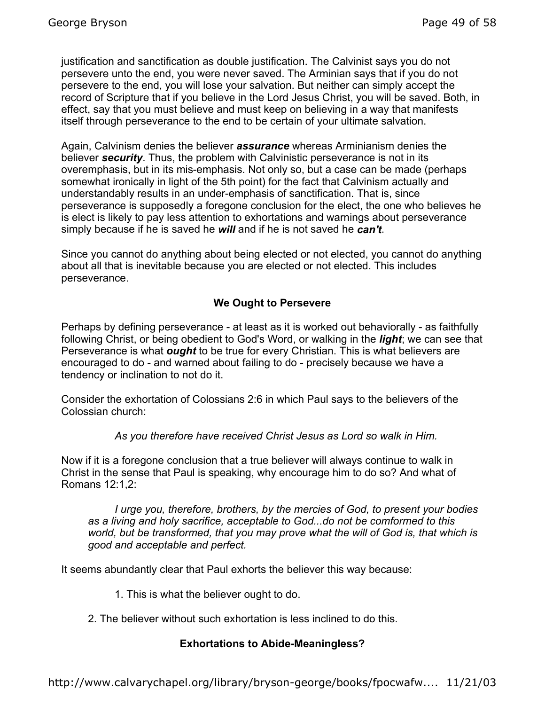justification and sanctification as double justification. The Calvinist says you do not persevere unto the end, you were never saved. The Arminian says that if you do not persevere to the end, you will lose your salvation. But neither can simply accept the record of Scripture that if you believe in the Lord Jesus Christ, you will be saved. Both, in effect, say that you must believe and must keep on believing in a way that manifests itself through perseverance to the end to be certain of your ultimate salvation.

Again, Calvinism denies the believer *assurance* whereas Arminianism denies the believer *security*. Thus, the problem with Calvinistic perseverance is not in its overemphasis, but in its mis-emphasis. Not only so, but a case can be made (perhaps somewhat ironically in light of the 5th point) for the fact that Calvinism actually and understandably results in an under-emphasis of sanctification. That is, since perseverance is supposedly a foregone conclusion for the elect, the one who believes he is elect is likely to pay less attention to exhortations and warnings about perseverance simply because if he is saved he *will* and if he is not saved he *can't*.

Since you cannot do anything about being elected or not elected, you cannot do anything about all that is inevitable because you are elected or not elected. This includes perseverance.

## **We Ought to Persevere**

Perhaps by defining perseverance - at least as it is worked out behaviorally - as faithfully following Christ, or being obedient to God's Word, or walking in the *light*; we can see that Perseverance is what *ought* to be true for every Christian. This is what believers are encouraged to do - and warned about failing to do - precisely because we have a tendency or inclination to not do it.

Consider the exhortation of Colossians 2:6 in which Paul says to the believers of the Colossian church:

*As you therefore have received Christ Jesus as Lord so walk in Him.*

Now if it is a foregone conclusion that a true believer will always continue to walk in Christ in the sense that Paul is speaking, why encourage him to do so? And what of Romans 12:1,2:

*I urge you, therefore, brothers, by the mercies of God, to present your bodies as a living and holy sacrifice, acceptable to God...do not be comformed to this world, but be transformed, that you may prove what the will of God is, that which is good and acceptable and perfect.*

It seems abundantly clear that Paul exhorts the believer this way because:

- 1. This is what the believer ought to do.
- 2. The believer without such exhortation is less inclined to do this.

#### **Exhortations to Abide-Meaningless?**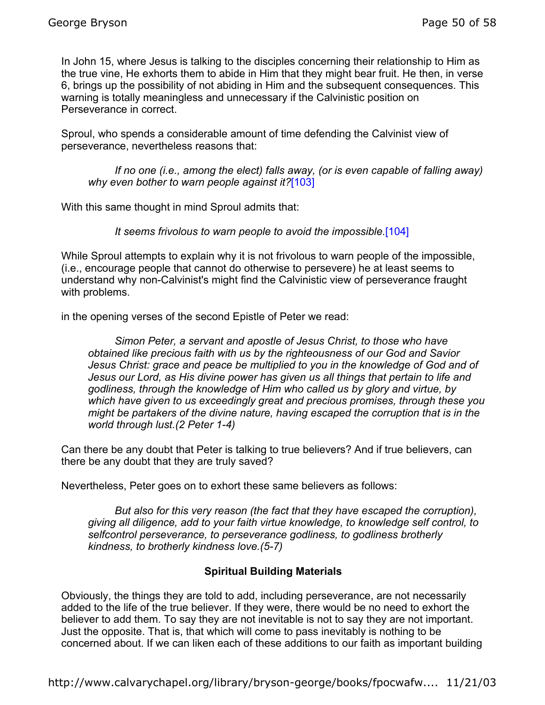In John 15, where Jesus is talking to the disciples concerning their relationship to Him as the true vine, He exhorts them to abide in Him that they might bear fruit. He then, in verse 6, brings up the possibility of not abiding in Him and the subsequent consequences. This warning is totally meaningless and unnecessary if the Calvinistic position on Perseverance in correct.

Sproul, who spends a considerable amount of time defending the Calvinist view of perseverance, nevertheless reasons that:

*If no one (i.e., among the elect) falls away, (or is even capable of falling away) why even bother to warn people against it?*[103]

With this same thought in mind Sproul admits that:

*It seems frivolous to warn people to avoid the impossible.*[104]

While Sproul attempts to explain why it is not frivolous to warn people of the impossible, (i.e., encourage people that cannot do otherwise to persevere) he at least seems to understand why non-Calvinist's might find the Calvinistic view of perseverance fraught with problems.

in the opening verses of the second Epistle of Peter we read:

*Simon Peter, a servant and apostle of Jesus Christ, to those who have obtained like precious faith with us by the righteousness of our God and Savior Jesus Christ: grace and peace be multiplied to you in the knowledge of God and of Jesus our Lord, as His divine power has given us all things that pertain to life and godliness, through the knowledge of Him who called us by glory and virtue, by which have given to us exceedingly great and precious promises, through these you might be partakers of the divine nature, having escaped the corruption that is in the world through lust.(2 Peter 1-4)*

Can there be any doubt that Peter is talking to true believers? And if true believers, can there be any doubt that they are truly saved?

Nevertheless, Peter goes on to exhort these same believers as follows:

*But also for this very reason (the fact that they have escaped the corruption), giving all diligence, add to your faith virtue knowledge, to knowledge self control, to selfcontrol perseverance, to perseverance godliness, to godliness brotherly kindness, to brotherly kindness love.(5-7)*

#### **Spiritual Building Materials**

Obviously, the things they are told to add, including perseverance, are not necessarily added to the life of the true believer. If they were, there would be no need to exhort the believer to add them. To say they are not inevitable is not to say they are not important. Just the opposite. That is, that which will come to pass inevitably is nothing to be concerned about. If we can liken each of these additions to our faith as important building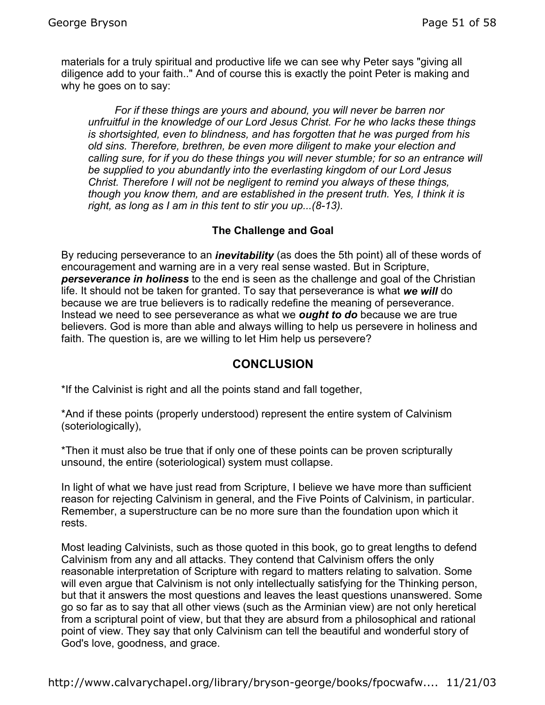materials for a truly spiritual and productive life we can see why Peter says "giving all diligence add to your faith.." And of course this is exactly the point Peter is making and why he goes on to say:

*For if these things are yours and abound, you will never be barren nor unfruitful in the knowledge of our Lord Jesus Christ. For he who lacks these things is shortsighted, even to blindness, and has forgotten that he was purged from his old sins. Therefore, brethren, be even more diligent to make your election and calling sure, for if you do these things you will never stumble; for so an entrance will be supplied to you abundantly into the everlasting kingdom of our Lord Jesus Christ. Therefore I will not be negligent to remind you always of these things, though you know them, and are established in the present truth. Yes, I think it is right, as long as I am in this tent to stir you up...(8-13).*

## **The Challenge and Goal**

By reducing perseverance to an *inevitability* (as does the 5th point) all of these words of encouragement and warning are in a very real sense wasted. But in Scripture, *perseverance in holiness* to the end is seen as the challenge and goal of the Christian life. It should not be taken for granted. To say that perseverance is what *we will* do because we are true believers is to radically redefine the meaning of perseverance. Instead we need to see perseverance as what we *ought to do* because we are true believers. God is more than able and always willing to help us persevere in holiness and faith. The question is, are we willing to let Him help us persevere?

## **CONCLUSION**

\*If the Calvinist is right and all the points stand and fall together,

\*And if these points (properly understood) represent the entire system of Calvinism (soteriologically),

\*Then it must also be true that if only one of these points can be proven scripturally unsound, the entire (soteriological) system must collapse.

In light of what we have just read from Scripture, I believe we have more than sufficient reason for rejecting Calvinism in general, and the Five Points of Calvinism, in particular. Remember, a superstructure can be no more sure than the foundation upon which it rests.

Most leading Calvinists, such as those quoted in this book, go to great lengths to defend Calvinism from any and all attacks. They contend that Calvinism offers the only reasonable interpretation of Scripture with regard to matters relating to salvation. Some will even argue that Calvinism is not only intellectually satisfying for the Thinking person, but that it answers the most questions and leaves the least questions unanswered. Some go so far as to say that all other views (such as the Arminian view) are not only heretical from a scriptural point of view, but that they are absurd from a philosophical and rational point of view. They say that only Calvinism can tell the beautiful and wonderful story of God's love, goodness, and grace.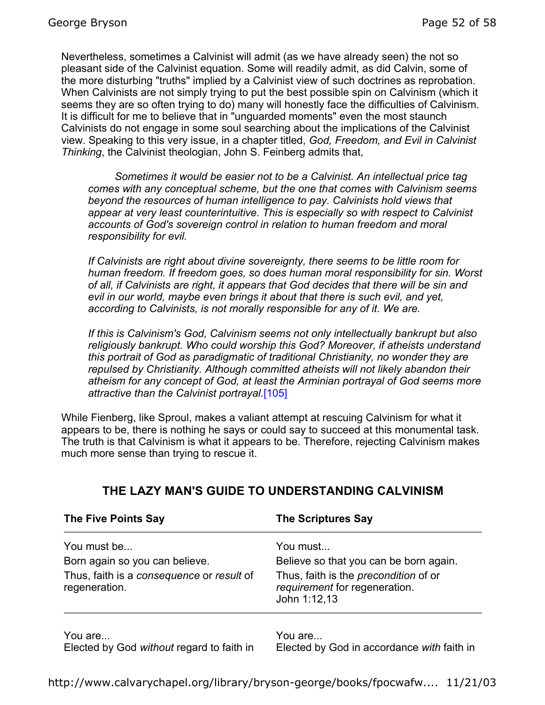Nevertheless, sometimes a Calvinist will admit (as we have already seen) the not so pleasant side of the Calvinist equation. Some will readily admit, as did Calvin, some of the more disturbing "truths" implied by a Calvinist view of such doctrines as reprobation. When Calvinists are not simply trying to put the best possible spin on Calvinism (which it seems they are so often trying to do) many will honestly face the difficulties of Calvinism. It is difficult for me to believe that in "unguarded moments" even the most staunch Calvinists do not engage in some soul searching about the implications of the Calvinist view. Speaking to this very issue, in a chapter titled, *God, Freedom, and Evil in Calvinist Thinking*, the Calvinist theologian, John S. Feinberg admits that,

*Sometimes it would be easier not to be a Calvinist. An intellectual price tag comes with any conceptual scheme, but the one that comes with Calvinism seems beyond the resources of human intelligence to pay. Calvinists hold views that appear at very least counterintuitive. This is especially so with respect to Calvinist accounts of God's sovereign control in relation to human freedom and moral responsibility for evil.* 

*If Calvinists are right about divine sovereignty, there seems to be little room for human freedom. If freedom goes, so does human moral responsibility for sin. Worst of all, if Calvinists are right, it appears that God decides that there will be sin and evil in our world, maybe even brings it about that there is such evil, and yet, according to Calvinists, is not morally responsible for any of it. We are.* 

*If this is Calvinism's God, Calvinism seems not only intellectually bankrupt but also religiously bankrupt. Who could worship this God? Moreover, if atheists understand this portrait of God as paradigmatic of traditional Christianity, no wonder they are repulsed by Christianity. Although committed atheists will not likely abandon their atheism for any concept of God, at least the Arminian portrayal of God seems more attractive than the Calvinist portrayal.*[105]

While Fienberg, like Sproul, makes a valiant attempt at rescuing Calvinism for what it appears to be, there is nothing he says or could say to succeed at this monumental task. The truth is that Calvinism is what it appears to be. Therefore, rejecting Calvinism makes much more sense than trying to rescue it.

|  |  |  |  |  | THE LAZY MAN'S GUIDE TO UNDERSTANDING CALVINISM |
|--|--|--|--|--|-------------------------------------------------|
|--|--|--|--|--|-------------------------------------------------|

| The Five Points Say                                        | <b>The Scriptures Say</b><br>You must                                                         |  |  |
|------------------------------------------------------------|-----------------------------------------------------------------------------------------------|--|--|
| You must be                                                |                                                                                               |  |  |
| Born again so you can believe.                             | Believe so that you can be born again.                                                        |  |  |
| Thus, faith is a consequence or result of<br>regeneration. | Thus, faith is the <i>precondition</i> of or<br>requirement for regeneration.<br>John 1:12,13 |  |  |
|                                                            |                                                                                               |  |  |
| You are<br>Elected by God without regard to faith in       | You are<br>Elected by God in accordance with faith in                                         |  |  |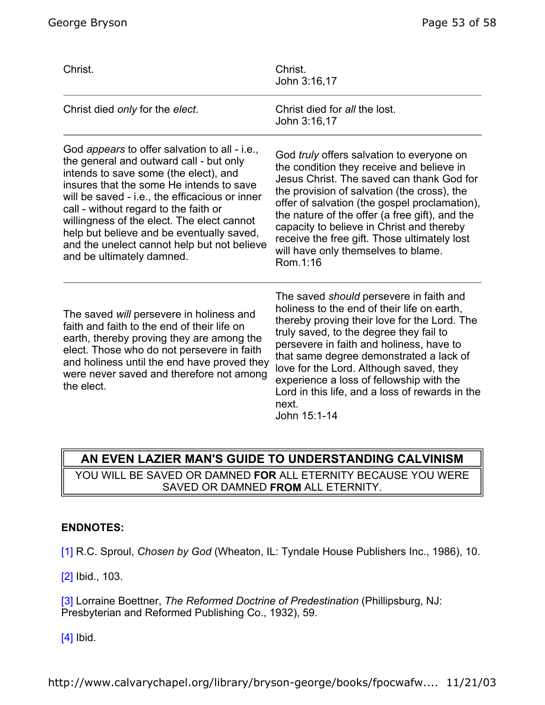| Christ.                                                                                                                                                                                                                                                                                                                                                                                                                                                | Christ.<br>John 3:16,17                                                                                                                                                                                                                                                                                                                                                                                                                      |
|--------------------------------------------------------------------------------------------------------------------------------------------------------------------------------------------------------------------------------------------------------------------------------------------------------------------------------------------------------------------------------------------------------------------------------------------------------|----------------------------------------------------------------------------------------------------------------------------------------------------------------------------------------------------------------------------------------------------------------------------------------------------------------------------------------------------------------------------------------------------------------------------------------------|
| Christ died only for the elect.                                                                                                                                                                                                                                                                                                                                                                                                                        | Christ died for all the lost.<br>John 3:16,17                                                                                                                                                                                                                                                                                                                                                                                                |
| God <i>appears</i> to offer salvation to all - i.e.,<br>the general and outward call - but only<br>intends to save some (the elect), and<br>insures that the some He intends to save<br>will be saved - i.e., the efficacious or inner<br>call - without regard to the faith or<br>willingness of the elect. The elect cannot<br>help but believe and be eventually saved,<br>and the unelect cannot help but not believe<br>and be ultimately damned. | God <i>truly</i> offers salvation to everyone on<br>the condition they receive and believe in<br>Jesus Christ. The saved can thank God for<br>the provision of salvation (the cross), the<br>offer of salvation (the gospel proclamation),<br>the nature of the offer (a free gift), and the<br>capacity to believe in Christ and thereby<br>receive the free gift. Those ultimately lost<br>will have only themselves to blame.<br>Rom.1:16 |
| The saved will persevere in holiness and<br>faith and faith to the end of their life on<br>earth, thereby proving they are among the<br>elect. Those who do not persevere in faith<br>and holiness until the end have proved they<br>were never saved and therefore not among<br>the elect.                                                                                                                                                            | The saved should persevere in faith and<br>holiness to the end of their life on earth,<br>thereby proving their love for the Lord. The<br>truly saved, to the degree they fail to<br>persevere in faith and holiness, have to<br>that same degree demonstrated a lack of<br>love for the Lord. Although saved, they<br>experience a loss of fellowship with the<br>Lord in this life, and a loss of rewards in the<br>next.<br>John 15:1-14  |

# **AN EVEN LAZIER MAN'S GUIDE TO UNDERSTANDING CALVINISM** YOU WILL BE SAVED OR DAMNED **FOR** ALL ETERNITY BECAUSE YOU WERE SAVED OR DAMNED **FROM** ALL ETERNITY.

#### **ENDNOTES:**

[1] R.C. Sproul, *Chosen by God* (Wheaton, IL: Tyndale House Publishers Inc., 1986), 10.

[2] Ibid., 103.

[3] Lorraine Boettner, *The Reformed Doctrine of Predestination* (Phillipsburg, NJ: Presbyterian and Reformed Publishing Co., 1932), 59.

[4] Ibid.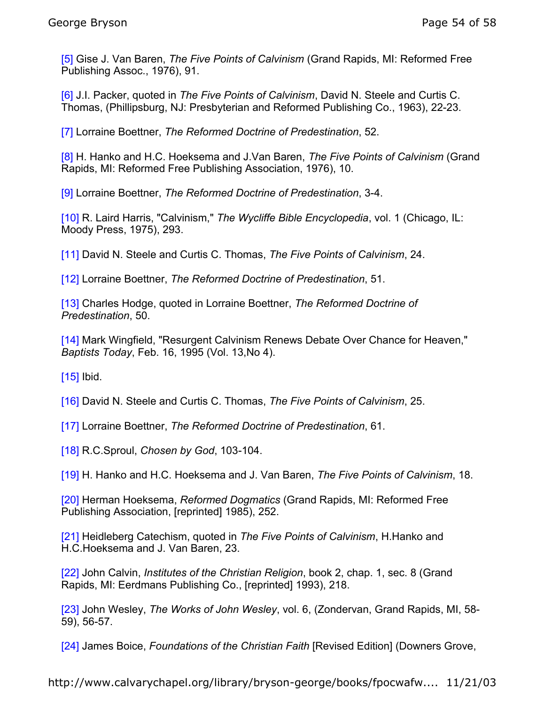[5] Gise J. Van Baren, *The Five Points of Calvinism* (Grand Rapids, MI: Reformed Free Publishing Assoc., 1976), 91.

[6] J.I. Packer, quoted in *The Five Points of Calvinism*, David N. Steele and Curtis C. Thomas, (Phillipsburg, NJ: Presbyterian and Reformed Publishing Co., 1963), 22-23.

[7] Lorraine Boettner, *The Reformed Doctrine of Predestination*, 52.

[8] H. Hanko and H.C. Hoeksema and J.Van Baren, *The Five Points of Calvinism* (Grand Rapids, MI: Reformed Free Publishing Association, 1976), 10.

[9] Lorraine Boettner, *The Reformed Doctrine of Predestination*, 3-4.

[10] R. Laird Harris, "Calvinism," *The Wycliffe Bible Encyclopedia*, vol. 1 (Chicago, IL: Moody Press, 1975), 293.

[11] David N. Steele and Curtis C. Thomas, *The Five Points of Calvinism*, 24.

[12] Lorraine Boettner, *The Reformed Doctrine of Predestination*, 51.

[13] Charles Hodge, quoted in Lorraine Boettner, *The Reformed Doctrine of Predestination*, 50.

[14] Mark Wingfield, "Resurgent Calvinism Renews Debate Over Chance for Heaven," *Baptists Today*, Feb. 16, 1995 (Vol. 13,No 4).

 $[15]$  Ibid.

[16] David N. Steele and Curtis C. Thomas, *The Five Points of Calvinism*, 25.

[17] Lorraine Boettner, *The Reformed Doctrine of Predestination*, 61.

[18] R.C.Sproul, *Chosen by God*, 103-104.

[19] H. Hanko and H.C. Hoeksema and J. Van Baren, *The Five Points of Calvinism*, 18.

[20] Herman Hoeksema, *Reformed Dogmatics* (Grand Rapids, MI: Reformed Free Publishing Association, [reprinted] 1985), 252.

[21] Heidleberg Catechism, quoted in *The Five Points of Calvinism*, H.Hanko and H.C.Hoeksema and J. Van Baren, 23.

[22] John Calvin, *Institutes of the Christian Religion*, book 2, chap. 1, sec. 8 (Grand Rapids, MI: Eerdmans Publishing Co., [reprinted] 1993), 218.

[23] John Wesley, *The Works of John Wesley*, vol. 6, (Zondervan, Grand Rapids, MI, 58- 59), 56-57.

[24] James Boice, *Foundations of the Christian Faith* [Revised Edition] (Downers Grove,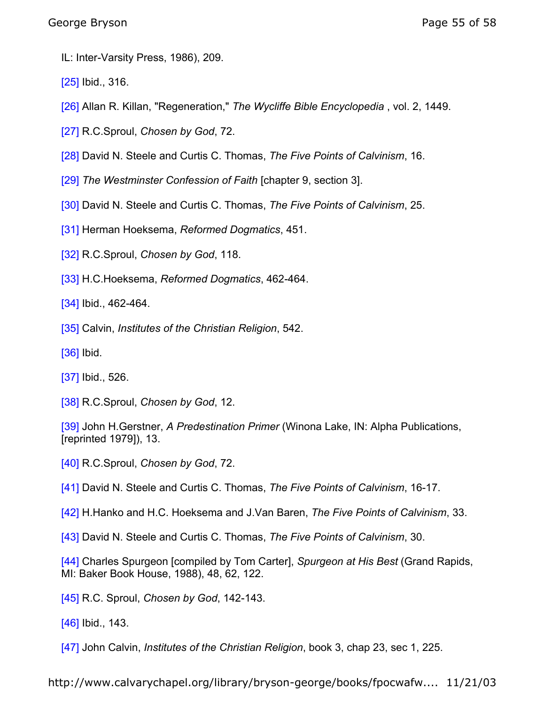IL: Inter-Varsity Press, 1986), 209.

[25] Ibid., 316.

[26] Allan R. Killan, "Regeneration," *The Wycliffe Bible Encyclopedia* , vol. 2, 1449.

[27] R.C.Sproul, *Chosen by God*, 72.

[28] David N. Steele and Curtis C. Thomas, *The Five Points of Calvinism*, 16.

[29] *The Westminster Confession of Faith* [chapter 9, section 3].

[30] David N. Steele and Curtis C. Thomas, *The Five Points of Calvinism*, 25.

[31] Herman Hoeksema, *Reformed Dogmatics*, 451.

[32] R.C.Sproul, *Chosen by God*, 118.

[33] H.C.Hoeksema, *Reformed Dogmatics*, 462-464.

[34] Ibid., 462-464.

[35] Calvin, *Institutes of the Christian Religion*, 542.

[36] Ibid.

[37] Ibid., 526.

[38] R.C.Sproul, *Chosen by God*, 12.

[39] John H.Gerstner, *A Predestination Primer* (Winona Lake, IN: Alpha Publications, [reprinted 1979]), 13.

[40] R.C.Sproul, *Chosen by God*, 72.

[41] David N. Steele and Curtis C. Thomas, *The Five Points of Calvinism*, 16-17.

[42] H.Hanko and H.C. Hoeksema and J.Van Baren, *The Five Points of Calvinism*, 33.

[43] David N. Steele and Curtis C. Thomas, *The Five Points of Calvinism*, 30.

[44] Charles Spurgeon [compiled by Tom Carter], *Spurgeon at His Best* (Grand Rapids, MI: Baker Book House, 1988), 48, 62, 122.

[45] R.C. Sproul, *Chosen by God*, 142-143.

[46] Ibid., 143.

[47] John Calvin, *Institutes of the Christian Religion*, book 3, chap 23, sec 1, 225.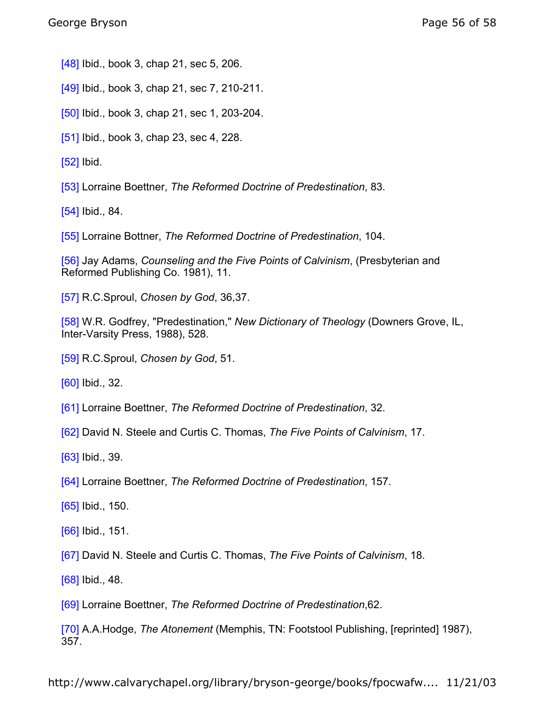[48] Ibid., book 3, chap 21, sec 5, 206.

[49] Ibid., book 3, chap 21, sec 7, 210-211.

[50] Ibid., book 3, chap 21, sec 1, 203-204.

[51] Ibid., book 3, chap 23, sec 4, 228.

[52] Ibid.

[53] Lorraine Boettner, *The Reformed Doctrine of Predestination*, 83.

[54] Ibid., 84.

[55] Lorraine Bottner, *The Reformed Doctrine of Predestination*, 104.

[56] Jay Adams, *Counseling and the Five Points of Calvinism*, (Presbyterian and Reformed Publishing Co. 1981), 11.

[57] R.C.Sproul, *Chosen by God*, 36,37.

[58] W.R. Godfrey, "Predestination," *New Dictionary of Theology* (Downers Grove, IL, Inter-Varsity Press, 1988), 528.

[59] R.C.Sproul, *Chosen by God*, 51.

[60] Ibid., 32.

[61] Lorraine Boettner, *The Reformed Doctrine of Predestination*, 32.

[62] David N. Steele and Curtis C. Thomas, *The Five Points of Calvinism*, 17.

[63] Ibid., 39.

[64] Lorraine Boettner, *The Reformed Doctrine of Predestination*, 157.

[65] Ibid., 150.

[66] Ibid., 151.

[67] David N. Steele and Curtis C. Thomas, *The Five Points of Calvinism*, 18.

[68] Ibid., 48.

[69] Lorraine Boettner, *The Reformed Doctrine of Predestination*,62.

[70] A.A.Hodge, *The Atonement* (Memphis, TN: Footstool Publishing, [reprinted] 1987), 357.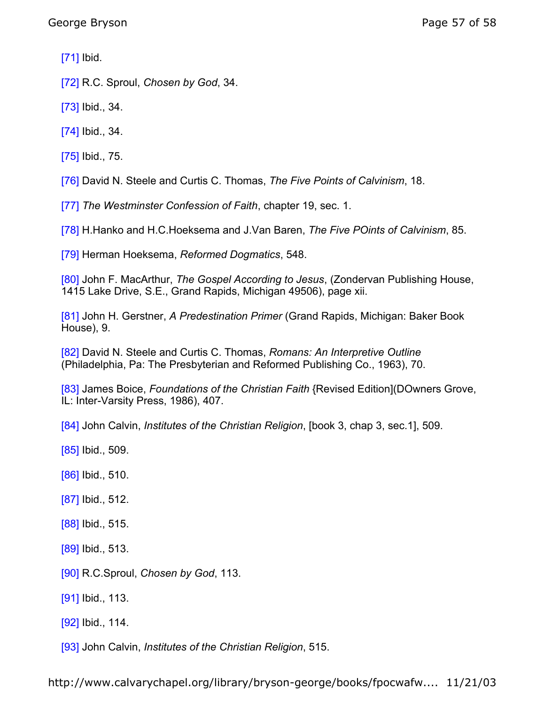[71] Ibid.

[72] R.C. Sproul, *Chosen by God*, 34.

[73] Ibid., 34.

[74] Ibid., 34.

[75] Ibid., 75.

[76] David N. Steele and Curtis C. Thomas, *The Five Points of Calvinism*, 18.

[77] *The Westminster Confession of Faith*, chapter 19, sec. 1.

[78] H.Hanko and H.C.Hoeksema and J.Van Baren, *The Five POints of Calvinism*, 85.

[79] Herman Hoeksema, *Reformed Dogmatics*, 548.

[80] John F. MacArthur, *The Gospel According to Jesus*, (Zondervan Publishing House, 1415 Lake Drive, S.E., Grand Rapids, Michigan 49506), page xii.

[81] John H. Gerstner, *A Predestination Primer* (Grand Rapids, Michigan: Baker Book House), 9.

[82] David N. Steele and Curtis C. Thomas, *Romans: An Interpretive Outline* (Philadelphia, Pa: The Presbyterian and Reformed Publishing Co., 1963), 70.

[83] James Boice, *Foundations of the Christian Faith* {Revised Edition](DOwners Grove, IL: Inter-Varsity Press, 1986), 407.

[84] John Calvin, *Institutes of the Christian Religion*, [book 3, chap 3, sec.1], 509.

[85] Ibid., 509.

[86] Ibid., 510.

[87] Ibid., 512.

[88] Ibid., 515.

[89] Ibid., 513.

[90] R.C.Sproul, *Chosen by God*, 113.

[91] Ibid., 113.

[92] Ibid., 114.

[93] John Calvin, *Institutes of the Christian Religion*, 515.